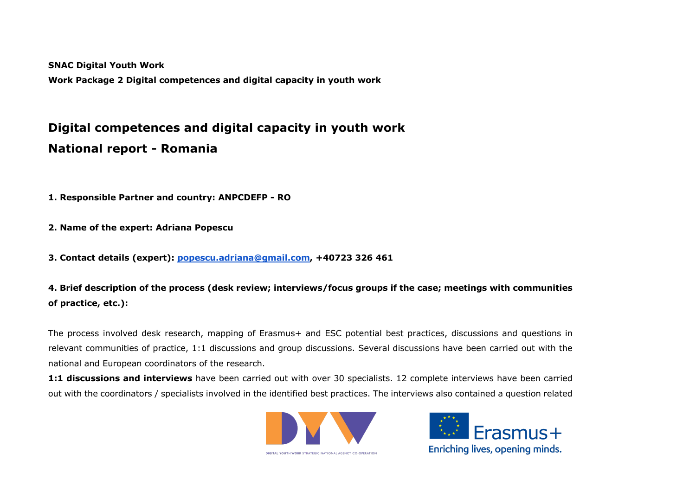**SNAC Digital Youth Work**

**Work Package 2 Digital competences and digital capacity in youth work**

# **Digital competences and digital capacity in youth work National report - Romania**

**1. Responsible Partner and country: ANPCDEFP - RO**

**2. Name of the expert: Adriana Popescu**

**3. Contact details (expert): popescu.adriana@gmail.com, +40723 326 461**

**4. Brief description of the process (desk review; interviews/focus groups if the case; meetings with communities of practice, etc.):**

The process involved desk research, mapping of Erasmus+ and ESC potential best practices, discussions and questions in relevant communities of practice, 1:1 discussions and group discussions. Several discussions have been carried out with the national and European coordinators of the research.

**1:1 discussions and interviews** have been carried out with over 30 specialists. 12 complete interviews have been carried out with the coordinators / specialists involved in the identified best practices. The interviews also contained a question related





DIGITAL YOUTH WORK STRATEGIC NATIONAL AGENCY CO-OPERATION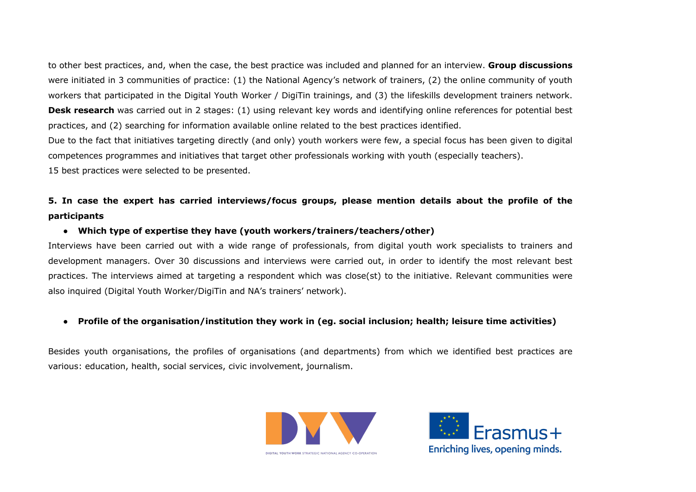to other best practices, and, when the case, the best practice was included and planned for an interview. **Group discussions** were initiated in 3 communities of practice: (1) the National Agency's network of trainers, (2) the online community of youth workers that participated in the Digital Youth Worker / DigiTin trainings, and (3) the lifeskills development trainers network. **Desk research** was carried out in 2 stages: (1) using relevant key words and identifying online references for potential best practices, and (2) searching for information available online related to the best practices identified.

Due to the fact that initiatives targeting directly (and only) youth workers were few, a special focus has been given to digital competences programmes and initiatives that target other professionals working with youth (especially teachers). 15 best practices were selected to be presented.

# **5. In case the expert has carried interviews/focus groups, please mention details about the profile of the participants**

#### ● **Which type of expertise they have (youth workers/trainers/teachers/other)**

Interviews have been carried out with a wide range of professionals, from digital youth work specialists to trainers and development managers. Over 30 discussions and interviews were carried out, in order to identify the most relevant best practices. The interviews aimed at targeting a respondent which was close(st) to the initiative. Relevant communities were also inquired (Digital Youth Worker/DigiTin and NA's trainers' network).

#### ● **Profile of the organisation/institution they work in (eg. social inclusion; health; leisure time activities)**

Besides youth organisations, the profiles of organisations (and departments) from which we identified best practices are various: education, health, social services, civic involvement, journalism.



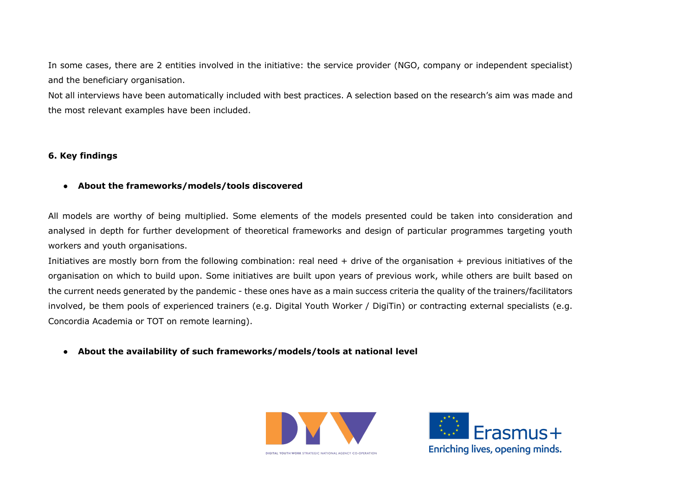In some cases, there are 2 entities involved in the initiative: the service provider (NGO, company or independent specialist) and the beneficiary organisation.

Not all interviews have been automatically included with best practices. A selection based on the research's aim was made and the most relevant examples have been included.

## **6. Key findings**

#### ● **About the frameworks/models/tools discovered**

All models are worthy of being multiplied. Some elements of the models presented could be taken into consideration and analysed in depth for further development of theoretical frameworks and design of particular programmes targeting youth workers and youth organisations.

Initiatives are mostly born from the following combination: real need + drive of the organisation + previous initiatives of the organisation on which to build upon. Some initiatives are built upon years of previous work, while others are built based on the current needs generated by the pandemic - these ones have as a main success criteria the quality of the trainers/facilitators involved, be them pools of experienced trainers (e.g. Digital Youth Worker / DigiTin) or contracting external specialists (e.g. Concordia Academia or TOT on remote learning).

● **About the availability of such frameworks/models/tools at national level**



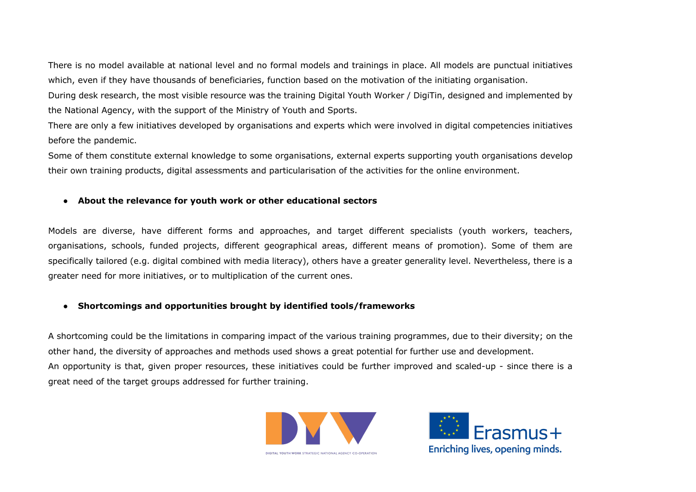There is no model available at national level and no formal models and trainings in place. All models are punctual initiatives which, even if they have thousands of beneficiaries, function based on the motivation of the initiating organisation.

During desk research, the most visible resource was the training Digital Youth Worker / DigiTin, designed and implemented by the National Agency, with the support of the Ministry of Youth and Sports.

There are only a few initiatives developed by organisations and experts which were involved in digital competencies initiatives before the pandemic.

Some of them constitute external knowledge to some organisations, external experts supporting youth organisations develop their own training products, digital assessments and particularisation of the activities for the online environment.

# ● **About the relevance for youth work or other educational sectors**

Models are diverse, have different forms and approaches, and target different specialists (youth workers, teachers, organisations, schools, funded projects, different geographical areas, different means of promotion). Some of them are specifically tailored (e.g. digital combined with media literacy), others have a greater generality level. Nevertheless, there is a greater need for more initiatives, or to multiplication of the current ones.

# ● **Shortcomings and opportunities brought by identified tools/frameworks**

A shortcoming could be the limitations in comparing impact of the various training programmes, due to their diversity; on the other hand, the diversity of approaches and methods used shows a great potential for further use and development. An opportunity is that, given proper resources, these initiatives could be further improved and scaled-up - since there is a great need of the target groups addressed for further training.



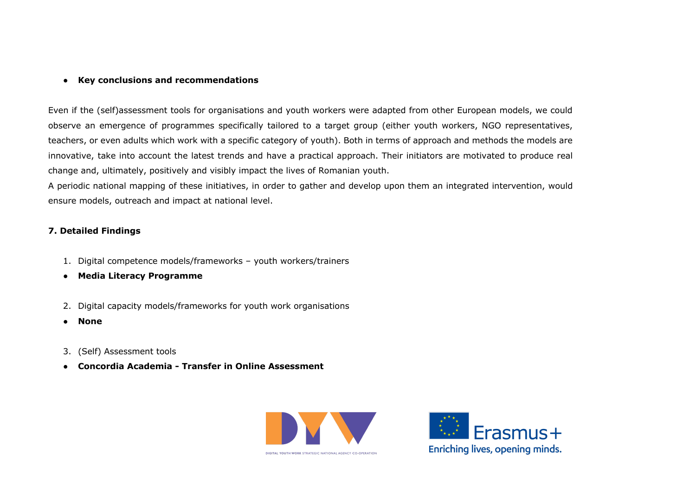## ● **Key conclusions and recommendations**

Even if the (self)assessment tools for organisations and youth workers were adapted from other European models, we could observe an emergence of programmes specifically tailored to a target group (either youth workers, NGO representatives, teachers, or even adults which work with a specific category of youth). Both in terms of approach and methods the models are innovative, take into account the latest trends and have a practical approach. Their initiators are motivated to produce real change and, ultimately, positively and visibly impact the lives of Romanian youth.

A periodic national mapping of these initiatives, in order to gather and develop upon them an integrated intervention, would ensure models, outreach and impact at national level.

# **7. Detailed Findings**

- 1. Digital competence models/frameworks youth workers/trainers
- **Media Literacy Programme**
- 2. Digital capacity models/frameworks for youth work organisations
- **None**
- 3. (Self) Assessment tools
- **Concordia Academia - Transfer in Online Assessment**



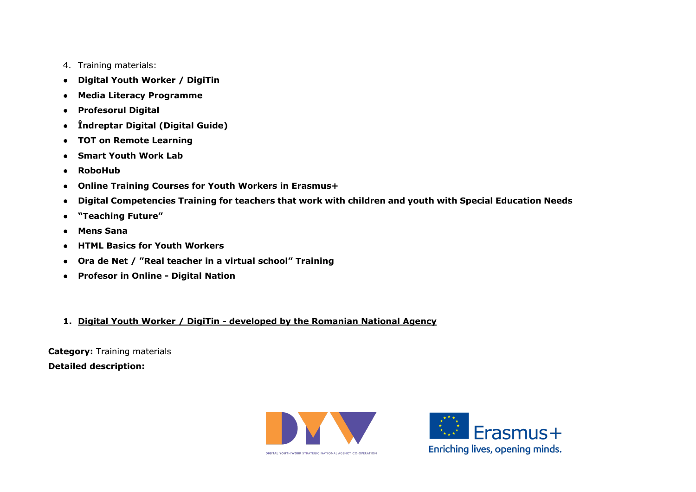- 4. Training materials:
- **Digital Youth Worker / DigiTin**
- **Media Literacy Programme**
- **Profesorul Digital**
- **Îndreptar Digital (Digital Guide)**
- **TOT on Remote Learning**
- **Smart Youth Work Lab**
- **RoboHub**
- **Online Training Courses for Youth Workers in Erasmus+**
- **Digital Competencies Training for teachers that work with children and youth with Special Education Needs**
- **"Teaching Future"**
- **Mens Sana**
- **HTML Basics for Youth Workers**
- **Ora de Net / "Real teacher in a virtual school" Training**
- **Profesor in Online - Digital Nation**
- **1. Digital Youth Worker / DigiTin - developed by the Romanian National Agency**

**Category:** Training materials **Detailed description:** 



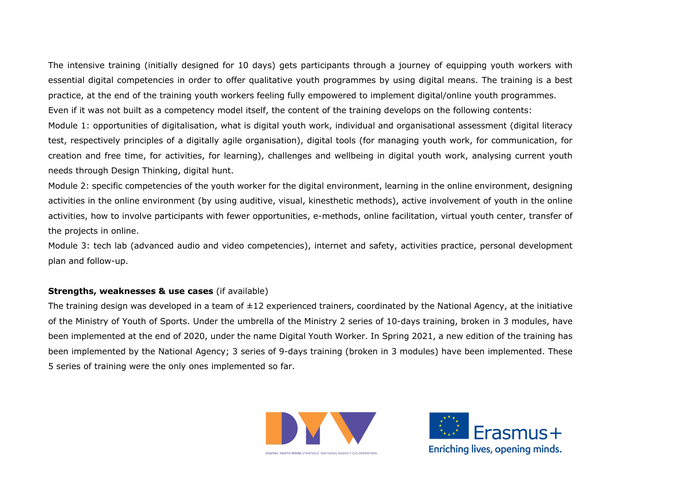The intensive training (initially designed for 10 days) gets participants through a journey of equipping youth workers with essential digital competencies in order to offer qualitative youth programmes by using digital means. The training is a best practice, at the end of the training youth workers feeling fully empowered to implement digital/online youth programmes. Even if it was not built as a competency model itself, the content of the training develops on the following contents: Module 1: opportunities of digitalisation, what is digital youth work, individual and organisational assessment (digital literacy test, respectively principles of a digitally agile organisation), digital tools (for managing youth work, for communication, for creation and free time, for activities, for learning), challenges and wellbeing in digital youth work, analysing current youth needs through Design Thinking, digital hunt.

Module 2: specific competencies of the youth worker for the digital environment, learning in the online environment, designing activities in the online environment (by using auditive, visual, kinesthetic methods), active involvement of youth in the online activities, how to involve participants with fewer opportunities, e-methods, online facilitation, virtual youth center, transfer of the projects in online.

Module 3: tech lab (advanced audio and video competencies), internet and safety, activities practice, personal development plan and follow-up.

#### **Strengths, weaknesses & use cases** (if available)

The training design was developed in a team of  $\pm 12$  experienced trainers, coordinated by the National Agency, at the initiative of the Ministry of Youth of Sports. Under the umbrella of the Ministry 2 series of 10-days training, broken in 3 modules, have been implemented at the end of 2020, under the name Digital Youth Worker. In Spring 2021, a new edition of the training has been implemented by the National Agency; 3 series of 9-days training (broken in 3 modules) have been implemented. These 5 series of training were the only ones implemented so far.



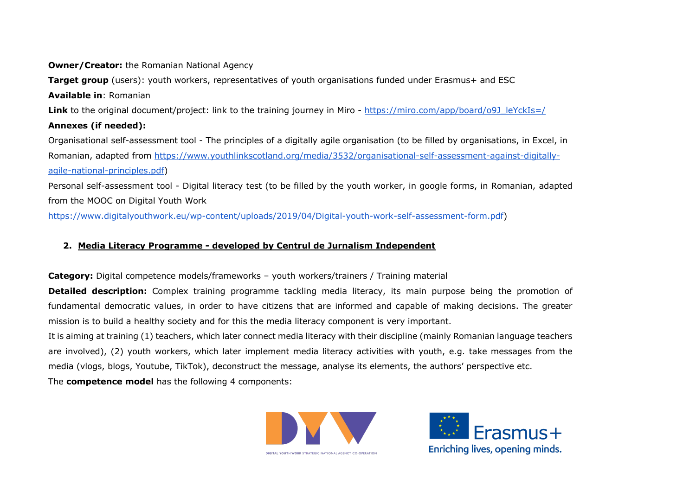# **Owner/Creator:** the Romanian National Agency

**Target group** (users): youth workers, representatives of youth organisations funded under Erasmus+ and ESC **Available in**: Romanian Link to the original document/project: link to the training journey in Miro - https://miro.com/app/board/o9J\_leYckIs=/ **Annexes (if needed):**  Organisational self-assessment tool - The principles of a digitally agile organisation (to be filled by organisations, in Excel, in Romanian, adapted from https://www.youthlinkscotland.org/media/3532/organisational-self-assessment-against-digitallyagile-national-principles.pdf)

Personal self-assessment tool - Digital literacy test (to be filled by the youth worker, in google forms, in Romanian, adapted from the MOOC on Digital Youth Work

https://www.digitalyouthwork.eu/wp-content/uploads/2019/04/Digital-youth-work-self-assessment-form.pdf)

# **2. Media Literacy Programme - developed by Centrul de Jurnalism Independent**

**Category:** Digital competence models/frameworks – youth workers/trainers / Training material

**Detailed description:** Complex training programme tackling media literacy, its main purpose being the promotion of fundamental democratic values, in order to have citizens that are informed and capable of making decisions. The greater mission is to build a healthy society and for this the media literacy component is very important.

It is aiming at training (1) teachers, which later connect media literacy with their discipline (mainly Romanian language teachers are involved), (2) youth workers, which later implement media literacy activities with youth, e.g. take messages from the media (vlogs, blogs, Youtube, TikTok), deconstruct the message, analyse its elements, the authors' perspective etc.

The **competence model** has the following 4 components:



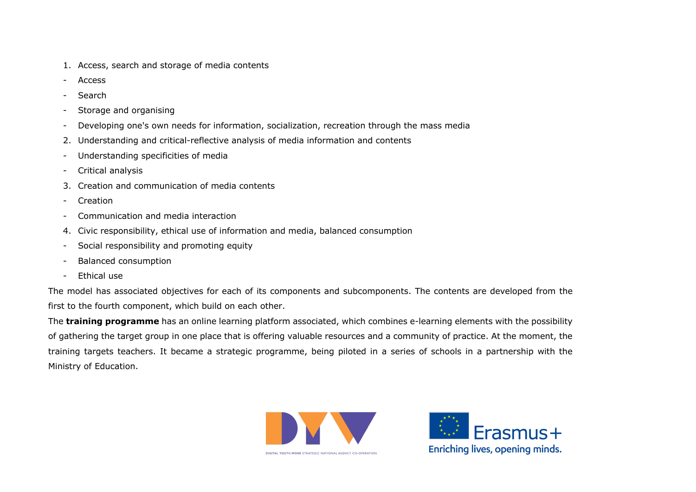- 1. Access, search and storage of media contents
- **Access**
- Search
- Storage and organising
- Developing one's own needs for information, socialization, recreation through the mass media
- 2. Understanding and critical-reflective analysis of media information and contents
- Understanding specificities of media
- Critical analysis
- 3. Creation and communication of media contents
- **Creation**
- Communication and media interaction
- 4. Civic responsibility, ethical use of information and media, balanced consumption
- Social responsibility and promoting equity
- Balanced consumption
- Ethical use

The model has associated objectives for each of its components and subcomponents. The contents are developed from the first to the fourth component, which build on each other.

The **training programme** has an online learning platform associated, which combines e-learning elements with the possibility of gathering the target group in one place that is offering valuable resources and a community of practice. At the moment, the training targets teachers. It became a strategic programme, being piloted in a series of schools in a partnership with the Ministry of Education.



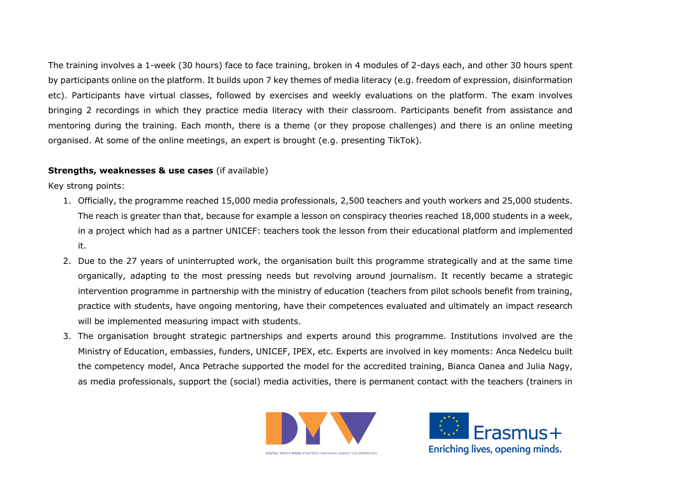The training involves a 1-week (30 hours) face to face training, broken in 4 modules of 2-days each, and other 30 hours spent by participants online on the platform. It builds upon 7 key themes of media literacy (e.g. freedom of expression, disinformation etc). Participants have virtual classes, followed by exercises and weekly evaluations on the platform. The exam involves bringing 2 recordings in which they practice media literacy with their classroom. Participants benefit from assistance and mentoring during the training. Each month, there is a theme (or they propose challenges) and there is an online meeting organised. At some of the online meetings, an expert is brought (e.g. presenting TikTok).

#### **Strengths, weaknesses & use cases** (if available)

Key strong points:

- 1. Officially, the programme reached 15,000 media professionals, 2,500 teachers and youth workers and 25,000 students. The reach is greater than that, because for example a lesson on conspiracy theories reached 18,000 students in a week, in a project which had as a partner UNICEF: teachers took the lesson from their educational platform and implemented it.
- 2. Due to the 27 years of uninterrupted work, the organisation built this programme strategically and at the same time organically, adapting to the most pressing needs but revolving around journalism. It recently became a strategic intervention programme in partnership with the ministry of education (teachers from pilot schools benefit from training, practice with students, have ongoing mentoring, have their competences evaluated and ultimately an impact research will be implemented measuring impact with students.
- 3. The organisation brought strategic partnerships and experts around this programme. Institutions involved are the Ministry of Education, embassies, funders, UNICEF, IPEX, etc. Experts are involved in key moments: Anca Nedelcu built the competency model, Anca Petrache supported the model for the accredited training, Bianca Oanea and Julia Nagy, as media professionals, support the (social) media activities, there is permanent contact with the teachers (trainers in



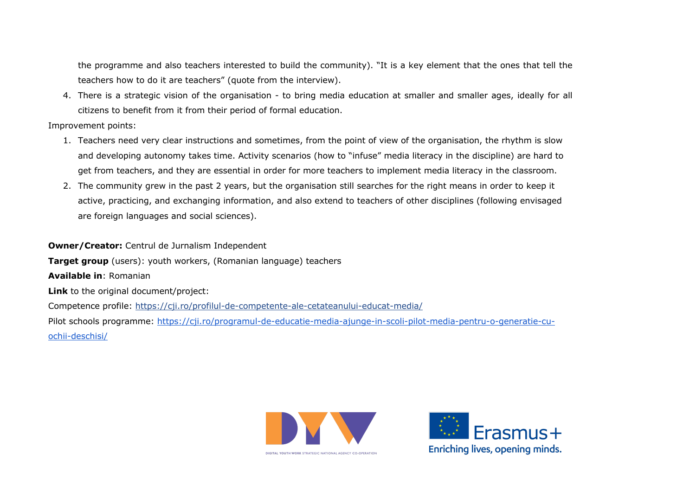the programme and also teachers interested to build the community). "It is a key element that the ones that tell the teachers how to do it are teachers" (quote from the interview).

4. There is a strategic vision of the organisation - to bring media education at smaller and smaller ages, ideally for all citizens to benefit from it from their period of formal education.

Improvement points:

- 1. Teachers need very clear instructions and sometimes, from the point of view of the organisation, the rhythm is slow and developing autonomy takes time. Activity scenarios (how to "infuse" media literacy in the discipline) are hard to get from teachers, and they are essential in order for more teachers to implement media literacy in the classroom.
- 2. The community grew in the past 2 years, but the organisation still searches for the right means in order to keep it active, practicing, and exchanging information, and also extend to teachers of other disciplines (following envisaged are foreign languages and social sciences).

**Owner/Creator:** Centrul de Jurnalism Independent **Target group** (users): youth workers, (Romanian language) teachers **Available in**: Romanian **Link** to the original document/project: Competence profile: https://cji.ro/profilul-de-competente-ale-cetateanului-educat-media/ Pilot schools programme: https://cji.ro/programul-de-educatie-media-ajunge-in-scoli-pilot-media-pentru-o-generatie-cuochii-deschisi/



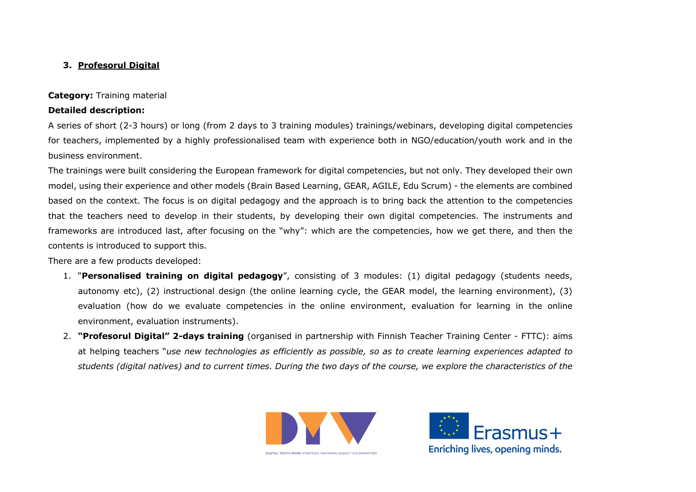# **3. Profesorul Digital**

## **Category:** Training material

## **Detailed description:**

A series of short (2-3 hours) or long (from 2 days to 3 training modules) trainings/webinars, developing digital competencies for teachers, implemented by a highly professionalised team with experience both in NGO/education/youth work and in the business environment.

The trainings were built considering the European framework for digital competencies, but not only. They developed their own model, using their experience and other models (Brain Based Learning, GEAR, AGILE, Edu Scrum) - the elements are combined based on the context. The focus is on digital pedagogy and the approach is to bring back the attention to the competencies that the teachers need to develop in their students, by developing their own digital competencies. The instruments and frameworks are introduced last, after focusing on the "why": which are the competencies, how we get there, and then the contents is introduced to support this.

There are a few products developed:

- 1. "**Personalised training on digital pedagogy**", consisting of 3 modules: (1) digital pedagogy (students needs, autonomy etc), (2) instructional design (the online learning cycle, the GEAR model, the learning environment), (3) evaluation (how do we evaluate competencies in the online environment, evaluation for learning in the online environment, evaluation instruments).
- 2. **"Profesorul Digital" 2-days training** (organised in partnership with Finnish Teacher Training Center FTTC): aims at helping teachers "*use new technologies as efficiently as possible, so as to create learning experiences adapted to students (digital natives) and to current times. During the two days of the course, we explore the characteristics of the*



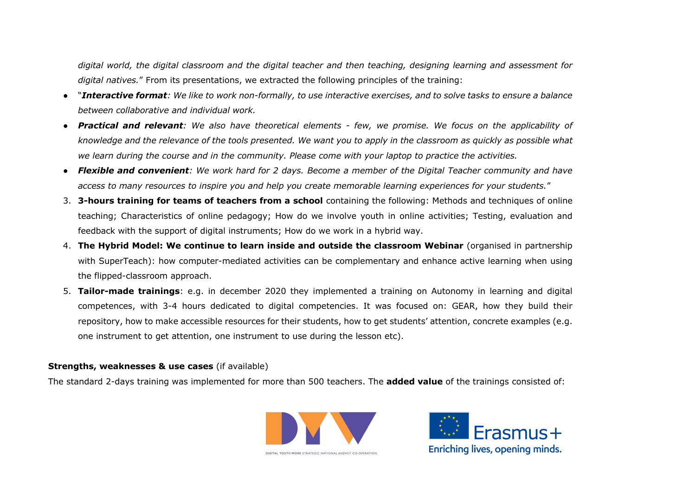*digital world, the digital classroom and the digital teacher and then teaching, designing learning and assessment for digital natives.*" From its presentations, we extracted the following principles of the training:

- "*Interactive format: We like to work non-formally, to use interactive exercises, and to solve tasks to ensure a balance between collaborative and individual work.*
- *Practical and relevant: We also have theoretical elements - few, we promise. We focus on the applicability of knowledge and the relevance of the tools presented. We want you to apply in the classroom as quickly as possible what we learn during the course and in the community. Please come with your laptop to practice the activities.*
- *Flexible and convenient: We work hard for 2 days. Become a member of the Digital Teacher community and have access to many resources to inspire you and help you create memorable learning experiences for your students.*"
- 3. **3-hours training for teams of teachers from a school** containing the following: Methods and techniques of online teaching; Characteristics of online pedagogy; How do we involve youth in online activities; Testing, evaluation and feedback with the support of digital instruments; How do we work in a hybrid way.
- 4. **The Hybrid Model: We continue to learn inside and outside the classroom Webinar** (organised in partnership with SuperTeach): how computer-mediated activities can be complementary and enhance active learning when using the flipped-classroom approach.
- 5. **Tailor-made trainings**: e.g. in december 2020 they implemented a training on Autonomy in learning and digital competences, with 3-4 hours dedicated to digital competencies. It was focused on: GEAR, how they build their repository, how to make accessible resources for their students, how to get students' attention, concrete examples (e.g. one instrument to get attention, one instrument to use during the lesson etc).

#### **Strengths, weaknesses & use cases** (if available)

The standard 2-days training was implemented for more than 500 teachers. The **added value** of the trainings consisted of:



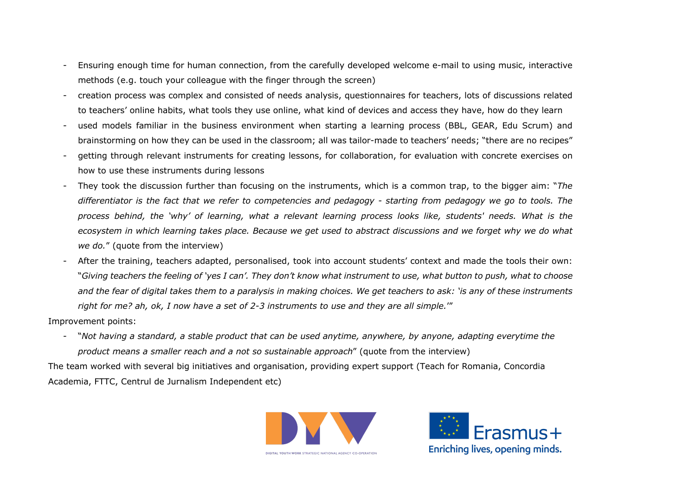- Ensuring enough time for human connection, from the carefully developed welcome e-mail to using music, interactive methods (e.g. touch your colleague with the finger through the screen)
- creation process was complex and consisted of needs analysis, questionnaires for teachers, lots of discussions related to teachers' online habits, what tools they use online, what kind of devices and access they have, how do they learn
- used models familiar in the business environment when starting a learning process (BBL, GEAR, Edu Scrum) and brainstorming on how they can be used in the classroom; all was tailor-made to teachers' needs; "there are no recipes"
- getting through relevant instruments for creating lessons, for collaboration, for evaluation with concrete exercises on how to use these instruments during lessons
- They took the discussion further than focusing on the instruments, which is a common trap, to the bigger aim: "*The differentiator is the fact that we refer to competencies and pedagogy - starting from pedagogy we go to tools. The process behind, the 'why' of learning, what a relevant learning process looks like, students' needs. What is the ecosystem in which learning takes place. Because we get used to abstract discussions and we forget why we do what we do.*" (quote from the interview)
- After the training, teachers adapted, personalised, took into account students' context and made the tools their own: "*Giving teachers the feeling of 'yes I can'. They don't know what instrument to use, what button to push, what to choose and the fear of digital takes them to a paralysis in making choices. We get teachers to ask: 'is any of these instruments right for me? ah, ok, I now have a set of 2-3 instruments to use and they are all simple.*'"

Improvement points:

- "*Not having a standard, a stable product that can be used anytime, anywhere, by anyone, adapting everytime the product means a smaller reach and a not so sustainable approach*" (quote from the interview)

The team worked with several big initiatives and organisation, providing expert support (Teach for Romania, Concordia Academia, FTTC, Centrul de Jurnalism Independent etc)



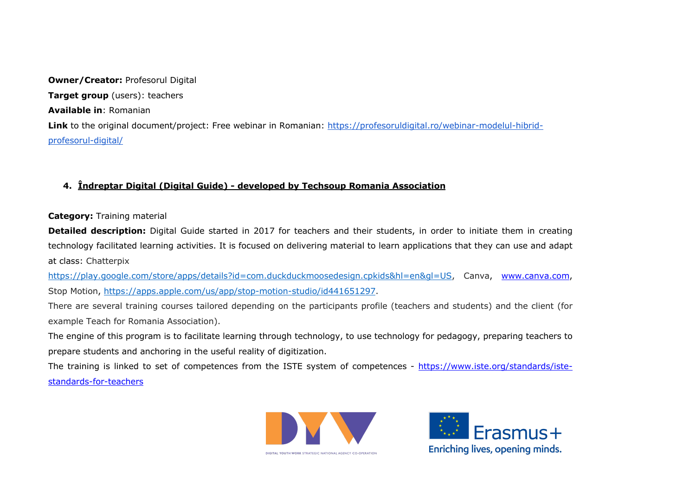**Owner/Creator: Profesorul Digital Target group** (users): teachers **Available in**: Romanian Link to the original document/project: Free webinar in Romanian: https://profesoruldigital.ro/webinar-modelul-hibridprofesorul-digital/

# **4. Îndreptar Digital (Digital Guide) - developed by Techsoup Romania Association**

# **Category:** Training material

**Detailed description:** Digital Guide started in 2017 for teachers and their students, in order to initiate them in creating technology facilitated learning activities. It is focused on delivering material to learn applications that they can use and adapt at class: Chatterpix

https://play.google.com/store/apps/details?id=com.duckduckmoosedesign.cpkids&hl=en&gl=US, Canva, www.canva.com, Stop Motion, https://apps.apple.com/us/app/stop-motion-studio/id441651297.

There are several training courses tailored depending on the participants profile (teachers and students) and the client (for example Teach for Romania Association).

The engine of this program is to facilitate learning through technology, to use technology for pedagogy, preparing teachers to prepare students and anchoring in the useful reality of digitization.

The training is linked to set of competences from the ISTE system of competences - https://www.iste.org/standards/istestandards-for-teachers



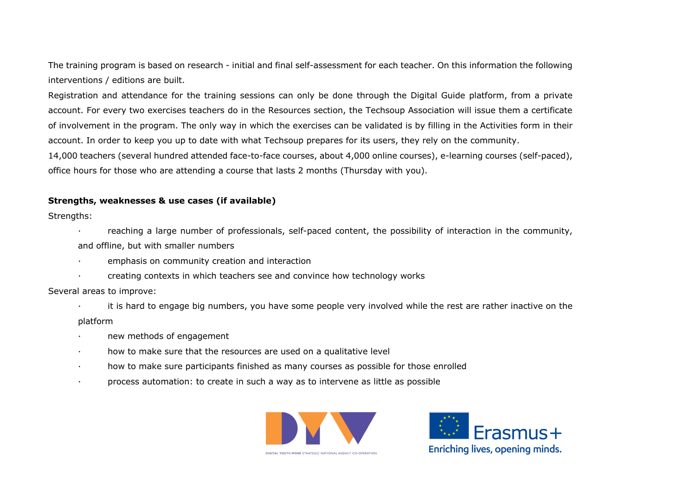The training program is based on research - initial and final self-assessment for each teacher. On this information the following interventions / editions are built.

Registration and attendance for the training sessions can only be done through the Digital Guide platform, from a private account. For every two exercises teachers do in the Resources section, the Techsoup Association will issue them a certificate of involvement in the program. The only way in which the exercises can be validated is by filling in the Activities form in their account. In order to keep you up to date with what Techsoup prepares for its users, they rely on the community. 14,000 teachers (several hundred attended face-to-face courses, about 4,000 online courses), e-learning courses (self-paced),

# **Strengths, weaknesses & use cases (if available)**

Strengths:

- · reaching a large number of professionals, self-paced content, the possibility of interaction in the community, and offline, but with smaller numbers
- · emphasis on community creation and interaction
- · creating contexts in which teachers see and convince how technology works

office hours for those who are attending a course that lasts 2 months (Thursday with you).

Several areas to improve:

- · it is hard to engage big numbers, you have some people very involved while the rest are rather inactive on the platform
- new methods of engagement
- · how to make sure that the resources are used on a qualitative level
- · how to make sure participants finished as many courses as possible for those enrolled
- · process automation: to create in such a way as to intervene as little as possible



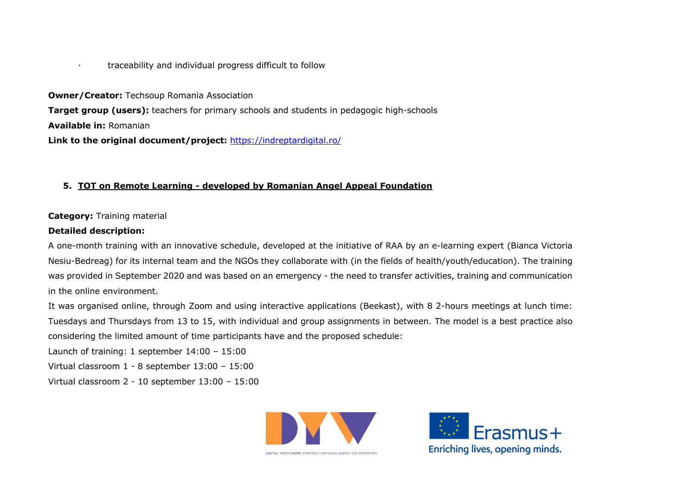· traceability and individual progress difficult to follow

**Owner/Creator:** Techsoup Romania Association **Target group (users):** teachers for primary schools and students in pedagogic high-schools **Available in:** Romanian **Link to the original document/project:** https://indreptardigital.ro/

#### **5. TOT on Remote Learning - developed by Romanian Angel Appeal Foundation**

## **Category:** Training material

#### **Detailed description:**

A one-month training with an innovative schedule, developed at the initiative of RAA by an e-learning expert (Bianca Victoria Nesiu-Bedreag) for its internal team and the NGOs they collaborate with (in the fields of health/youth/education). The training was provided in September 2020 and was based on an emergency - the need to transfer activities, training and communication in the online environment.

It was organised online, through Zoom and using interactive applications (Beekast), with 8 2-hours meetings at lunch time: Tuesdays and Thursdays from 13 to 15, with individual and group assignments in between. The model is a best practice also considering the limited amount of time participants have and the proposed schedule:

Launch of training: 1 september 14:00 – 15:00

Virtual classroom 1 - 8 september 13:00 – 15:00

Virtual classroom 2 - 10 september 13:00 – 15:00



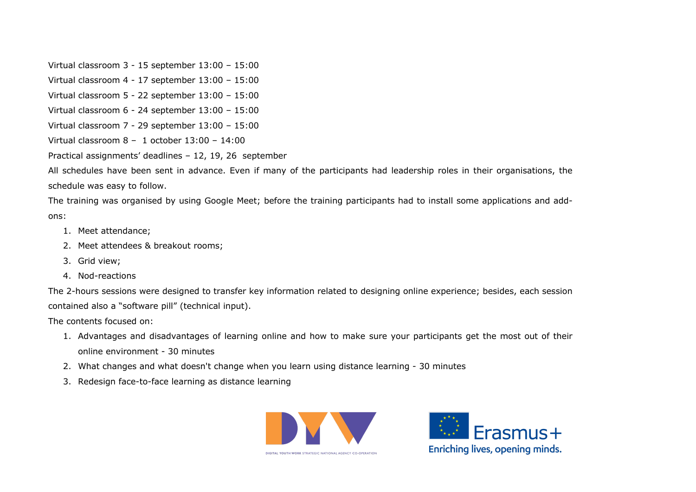Virtual classroom 3 - 15 september 13:00 – 15:00

Virtual classroom 4 - 17 september 13:00 – 15:00

Virtual classroom 5 - 22 september 13:00 – 15:00

Virtual classroom 6 - 24 september 13:00 – 15:00

Virtual classroom 7 - 29 september 13:00 – 15:00

Virtual classroom 8 – 1 october 13:00 – 14:00

Practical assignments' deadlines – 12, 19, 26 september

All schedules have been sent in advance. Even if many of the participants had leadership roles in their organisations, the schedule was easy to follow.

The training was organised by using Google Meet; before the training participants had to install some applications and addons:

- 1. Meet attendance;
- 2. Meet attendees & breakout rooms;
- 3. Grid view;
- 4. Nod-reactions

The 2-hours sessions were designed to transfer key information related to designing online experience; besides, each session contained also a "software pill" (technical input).

The contents focused on:

- 1. Advantages and disadvantages of learning online and how to make sure your participants get the most out of their online environment - 30 minutes
- 2. What changes and what doesn't change when you learn using distance learning 30 minutes
- 3. Redesign face-to-face learning as distance learning



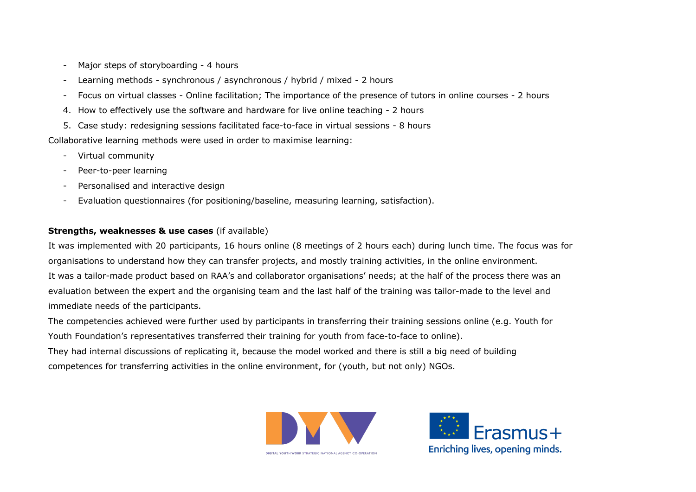- Major steps of storyboarding 4 hours
- Learning methods synchronous / asynchronous / hybrid / mixed 2 hours
- Focus on virtual classes Online facilitation; The importance of the presence of tutors in online courses 2 hours
- 4. How to effectively use the software and hardware for live online teaching 2 hours
- 5. Case study: redesigning sessions facilitated face-to-face in virtual sessions 8 hours

Collaborative learning methods were used in order to maximise learning:

- Virtual community
- Peer-to-peer learning
- Personalised and interactive design
- Evaluation questionnaires (for positioning/baseline, measuring learning, satisfaction).

# **Strengths, weaknesses & use cases** (if available)

It was implemented with 20 participants, 16 hours online (8 meetings of 2 hours each) during lunch time. The focus was for organisations to understand how they can transfer projects, and mostly training activities, in the online environment. It was a tailor-made product based on RAA's and collaborator organisations' needs; at the half of the process there was an evaluation between the expert and the organising team and the last half of the training was tailor-made to the level and immediate needs of the participants.

The competencies achieved were further used by participants in transferring their training sessions online (e.g. Youth for Youth Foundation's representatives transferred their training for youth from face-to-face to online). They had internal discussions of replicating it, because the model worked and there is still a big need of building competences for transferring activities in the online environment, for (youth, but not only) NGOs.



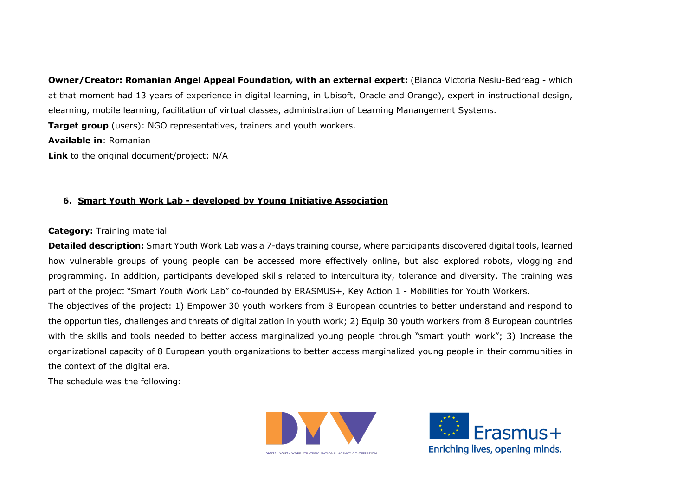**Owner/Creator: Romanian Angel Appeal Foundation, with an external expert:** (Bianca Victoria Nesiu-Bedreag - which at that moment had 13 years of experience in digital learning, in Ubisoft, Oracle and Orange), expert in instructional design, elearning, mobile learning, facilitation of virtual classes, administration of Learning Manangement Systems. **Target group** (users): NGO representatives, trainers and youth workers.

#### **Available in**: Romanian

**Link** to the original document/project: N/A

# **6. Smart Youth Work Lab - developed by Young Initiative Association**

#### **Category:** Training material

**Detailed description:** Smart Youth Work Lab was a 7-days training course, where participants discovered digital tools, learned how vulnerable groups of young people can be accessed more effectively online, but also explored robots, vlogging and programming. In addition, participants developed skills related to interculturality, tolerance and diversity. The training was part of the project "Smart Youth Work Lab" co-founded by ERASMUS+, Key Action 1 - Mobilities for Youth Workers. The objectives of the project: 1) Empower 30 youth workers from 8 European countries to better understand and respond to the opportunities, challenges and threats of digitalization in youth work; 2) Equip 30 youth workers from 8 European countries with the skills and tools needed to better access marginalized young people through "smart youth work"; 3) Increase the organizational capacity of 8 European youth organizations to better access marginalized young people in their communities in the context of the digital era.

The schedule was the following:



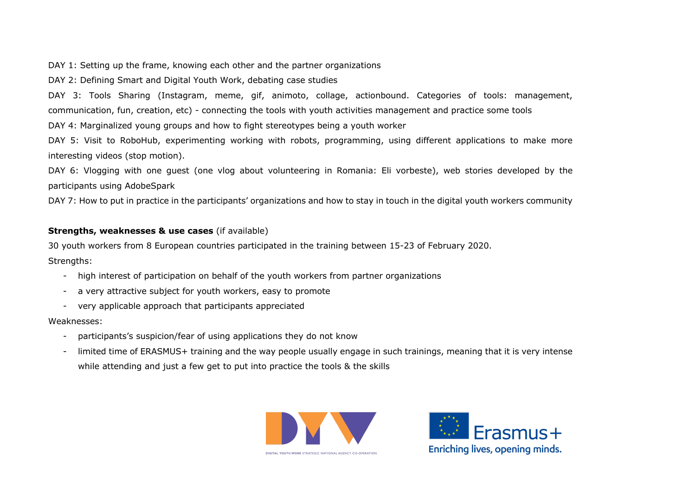DAY 1: Setting up the frame, knowing each other and the partner organizations

DAY 2: Defining Smart and Digital Youth Work, debating case studies

DAY 3: Tools Sharing (Instagram, meme, gif, animoto, collage, actionbound. Categories of tools: management, communication, fun, creation, etc) - connecting the tools with youth activities management and practice some tools DAY 4: Marginalized young groups and how to fight stereotypes being a youth worker

DAY 5: Visit to RoboHub, experimenting working with robots, programming, using different applications to make more interesting videos (stop motion).

DAY 6: Vlogging with one guest (one vlog about volunteering in Romania: Eli vorbeste), web stories developed by the participants using AdobeSpark

DAY 7: How to put in practice in the participants' organizations and how to stay in touch in the digital youth workers community

# **Strengths, weaknesses & use cases** (if available)

30 youth workers from 8 European countries participated in the training between 15-23 of February 2020. Strengths:

- high interest of participation on behalf of the youth workers from partner organizations
- a very attractive subject for youth workers, easy to promote
- very applicable approach that participants appreciated

# Weaknesses:

- participants's suspicion/fear of using applications they do not know
- limited time of ERASMUS+ training and the way people usually engage in such trainings, meaning that it is very intense while attending and just a few get to put into practice the tools & the skills



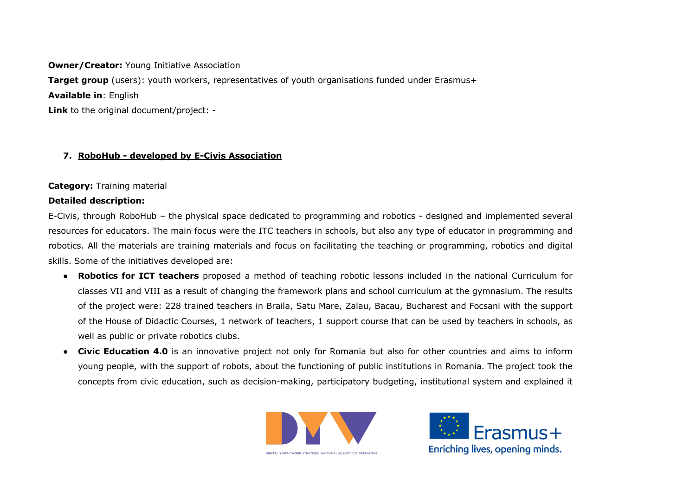**Owner/Creator: Young Initiative Association Target group** (users): youth workers, representatives of youth organisations funded under Erasmus+ **Available in**: English **Link** to the original document/project: -

# **7. RoboHub - developed by E-Civis Association**

#### **Category:** Training material

#### **Detailed description:**

E-Civis, through RoboHub – the physical space dedicated to programming and robotics - designed and implemented several resources for educators. The main focus were the ITC teachers in schools, but also any type of educator in programming and robotics. All the materials are training materials and focus on facilitating the teaching or programming, robotics and digital skills. Some of the initiatives developed are:

- **Robotics for ICT teachers** proposed a method of teaching robotic lessons included in the national Curriculum for classes VII and VIII as a result of changing the framework plans and school curriculum at the gymnasium. The results of the project were: 228 trained teachers in Braila, Satu Mare, Zalau, Bacau, Bucharest and Focsani with the support of the House of Didactic Courses, 1 network of teachers, 1 support course that can be used by teachers in schools, as well as public or private robotics clubs.
- **Civic Education 4.0** is an innovative project not only for Romania but also for other countries and aims to inform young people, with the support of robots, about the functioning of public institutions in Romania. The project took the concepts from civic education, such as decision-making, participatory budgeting, institutional system and explained it



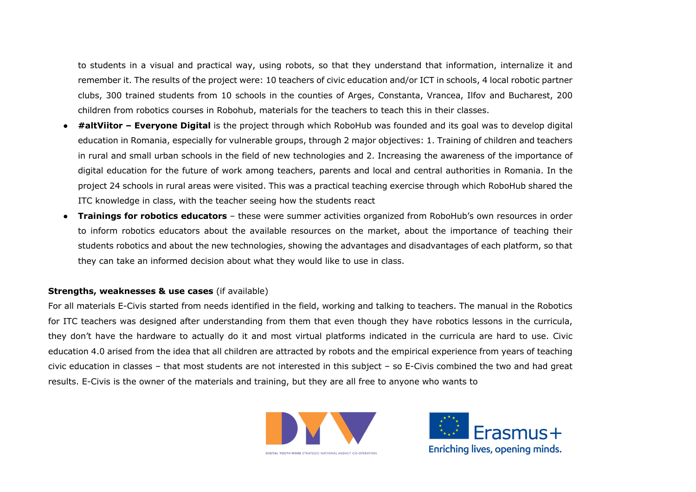to students in a visual and practical way, using robots, so that they understand that information, internalize it and remember it. The results of the project were: 10 teachers of civic education and/or ICT in schools, 4 local robotic partner clubs, 300 trained students from 10 schools in the counties of Arges, Constanta, Vrancea, Ilfov and Bucharest, 200 children from robotics courses in Robohub, materials for the teachers to teach this in their classes.

- **#altViitor – Everyone Digital** is the project through which RoboHub was founded and its goal was to develop digital education in Romania, especially for vulnerable groups, through 2 major objectives: 1. Training of children and teachers in rural and small urban schools in the field of new technologies and 2. Increasing the awareness of the importance of digital education for the future of work among teachers, parents and local and central authorities in Romania. In the project 24 schools in rural areas were visited. This was a practical teaching exercise through which RoboHub shared the ITC knowledge in class, with the teacher seeing how the students react
- **Trainings for robotics educators**  these were summer activities organized from RoboHub's own resources in order to inform robotics educators about the available resources on the market, about the importance of teaching their students robotics and about the new technologies, showing the advantages and disadvantages of each platform, so that they can take an informed decision about what they would like to use in class.

#### **Strengths, weaknesses & use cases** (if available)

For all materials E-Civis started from needs identified in the field, working and talking to teachers. The manual in the Robotics for ITC teachers was designed after understanding from them that even though they have robotics lessons in the curricula, they don't have the hardware to actually do it and most virtual platforms indicated in the curricula are hard to use. Civic education 4.0 arised from the idea that all children are attracted by robots and the empirical experience from years of teaching civic education in classes – that most students are not interested in this subject – so E-Civis combined the two and had great results. E-Civis is the owner of the materials and training, but they are all free to anyone who wants to



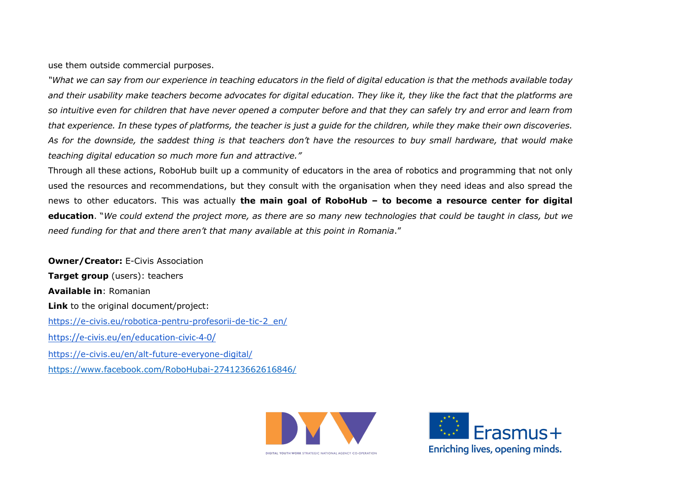use them outside commercial purposes.

*"What we can say from our experience in teaching educators in the field of digital education is that the methods available today and their usability make teachers become advocates for digital education. They like it, they like the fact that the platforms are so intuitive even for children that have never opened a computer before and that they can safely try and error and learn from that experience. In these types of platforms, the teacher is just a guide for the children, while they make their own discoveries. As for the downside, the saddest thing is that teachers don't have the resources to buy small hardware, that would make teaching digital education so much more fun and attractive."*

Through all these actions, RoboHub built up a community of educators in the area of robotics and programming that not only used the resources and recommendations, but they consult with the organisation when they need ideas and also spread the news to other educators. This was actually **the main goal of RoboHub – to become a resource center for digital education**. "*We could extend the project more, as there are so many new technologies that could be taught in class, but we need funding for that and there aren't that many available at this point in Romania*."

**Owner/Creator: E-Civis Association Target group** (users): teachers **Available in**: Romanian **Link** to the original document/project: https://e-civis.eu/robotica-pentru-profesorii-de-tic-2\_en/ https://e-civis.eu/en/education-civic-4-0/ https://e-civis.eu/en/alt-future-everyone-digital/ https://www.facebook.com/RoboHubai-274123662616846/



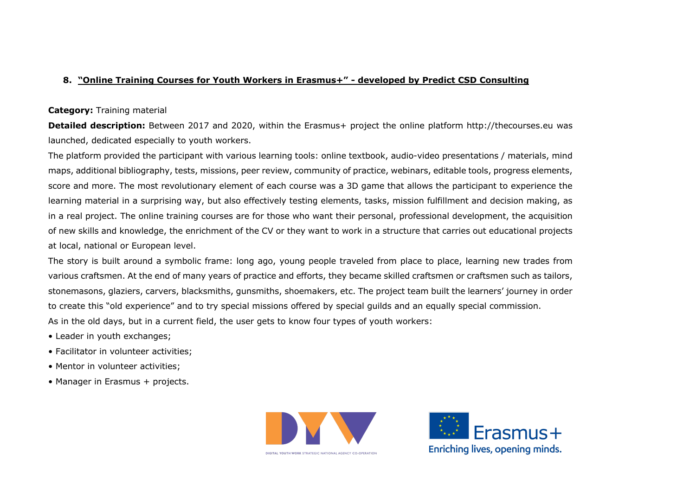# **8. "Online Training Courses for Youth Workers in Erasmus+" - developed by Predict CSD Consulting**

## **Category:** Training material

**Detailed description:** Between 2017 and 2020, within the Erasmus+ project the online platform http://thecourses.eu was launched, dedicated especially to youth workers.

The platform provided the participant with various learning tools: online textbook, audio-video presentations / materials, mind maps, additional bibliography, tests, missions, peer review, community of practice, webinars, editable tools, progress elements, score and more. The most revolutionary element of each course was a 3D game that allows the participant to experience the learning material in a surprising way, but also effectively testing elements, tasks, mission fulfillment and decision making, as in a real project. The online training courses are for those who want their personal, professional development, the acquisition of new skills and knowledge, the enrichment of the CV or they want to work in a structure that carries out educational projects at local, national or European level.

The story is built around a symbolic frame: long ago, young people traveled from place to place, learning new trades from various craftsmen. At the end of many years of practice and efforts, they became skilled craftsmen or craftsmen such as tailors, stonemasons, glaziers, carvers, blacksmiths, gunsmiths, shoemakers, etc. The project team built the learners' journey in order to create this "old experience" and to try special missions offered by special guilds and an equally special commission. As in the old days, but in a current field, the user gets to know four types of youth workers:

- Leader in youth exchanges;
- Facilitator in volunteer activities;
- Mentor in volunteer activities;
- Manager in Erasmus + projects.



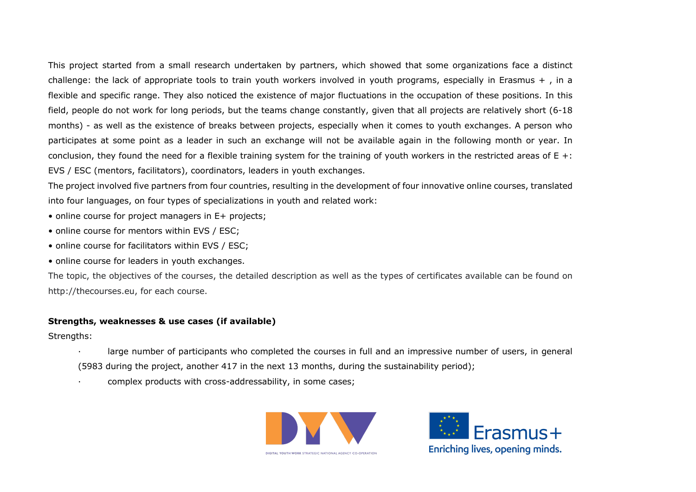This project started from a small research undertaken by partners, which showed that some organizations face a distinct challenge: the lack of appropriate tools to train youth workers involved in youth programs, especially in Erasmus  $+$ , in a flexible and specific range. They also noticed the existence of major fluctuations in the occupation of these positions. In this field, people do not work for long periods, but the teams change constantly, given that all projects are relatively short (6-18 months) - as well as the existence of breaks between projects, especially when it comes to youth exchanges. A person who participates at some point as a leader in such an exchange will not be available again in the following month or year. In conclusion, they found the need for a flexible training system for the training of youth workers in the restricted areas of  $E +$ : EVS / ESC (mentors, facilitators), coordinators, leaders in youth exchanges.

The project involved five partners from four countries, resulting in the development of four innovative online courses, translated into four languages, on four types of specializations in youth and related work:

- online course for project managers in E+ projects;
- online course for mentors within EVS / ESC;
- online course for facilitators within EVS / ESC;
- online course for leaders in youth exchanges.

The topic, the objectives of the courses, the detailed description as well as the types of certificates available can be found on http://thecourses.eu, for each course.

#### **Strengths, weaknesses & use cases (if available)**

Strengths:

- large number of participants who completed the courses in full and an impressive number of users, in general (5983 during the project, another 417 in the next 13 months, during the sustainability period);
- · complex products with cross-addressability, in some cases;



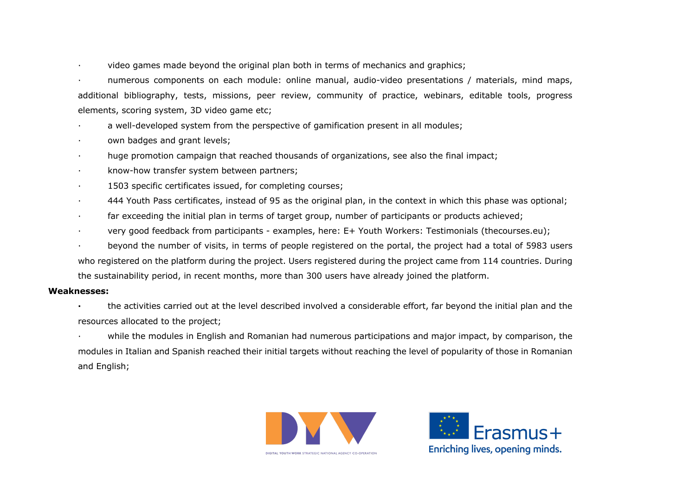· video games made beyond the original plan both in terms of mechanics and graphics;

· numerous components on each module: online manual, audio-video presentations / materials, mind maps, additional bibliography, tests, missions, peer review, community of practice, webinars, editable tools, progress elements, scoring system, 3D video game etc;

a well-developed system from the perspective of gamification present in all modules;

- own badges and grant levels;
- · huge promotion campaign that reached thousands of organizations, see also the final impact;
- · know-how transfer system between partners;
- · 1503 specific certificates issued, for completing courses;
- · 444 Youth Pass certificates, instead of 95 as the original plan, in the context in which this phase was optional;
- · far exceeding the initial plan in terms of target group, number of participants or products achieved;
- · very good feedback from participants examples, here: E+ Youth Workers: Testimonials (thecourses.eu);
- beyond the number of visits, in terms of people registered on the portal, the project had a total of 5983 users who registered on the platform during the project. Users registered during the project came from 114 countries. During the sustainability period, in recent months, more than 300 users have already joined the platform.

#### **Weaknesses:**

**·** the activities carried out at the level described involved a considerable effort, far beyond the initial plan and the resources allocated to the project;

while the modules in English and Romanian had numerous participations and major impact, by comparison, the modules in Italian and Spanish reached their initial targets without reaching the level of popularity of those in Romanian and English;



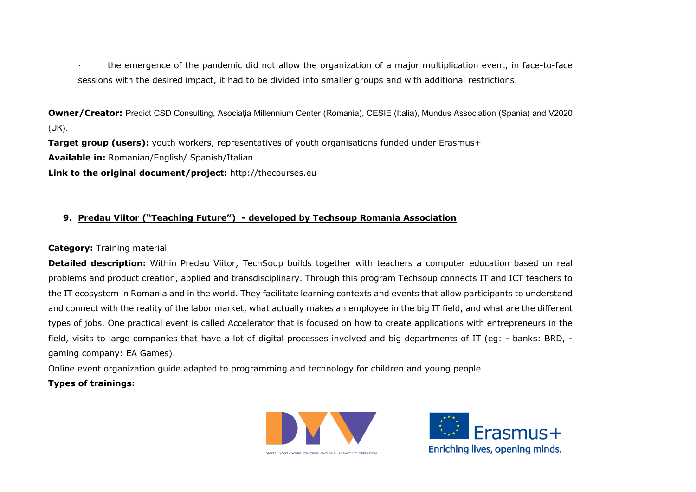· the emergence of the pandemic did not allow the organization of a major multiplication event, in face-to-face sessions with the desired impact, it had to be divided into smaller groups and with additional restrictions.

**Owner/Creator:** Predict CSD Consulting, Asociația Millennium Center (Romania), CESIE (Italia), Mundus Association (Spania) and V2020 (UK).

**Target group (users):** youth workers, representatives of youth organisations funded under Erasmus+

**Available in:** Romanian/English/ Spanish/Italian

**Link to the original document/project:** http://thecourses.eu

# **9. Predau Viitor ("Teaching Future") - developed by Techsoup Romania Association**

# **Category:** Training material

**Detailed description:** Within Predau Viitor, TechSoup builds together with teachers a computer education based on real problems and product creation, applied and transdisciplinary. Through this program Techsoup connects IT and ICT teachers to the IT ecosystem in Romania and in the world. They facilitate learning contexts and events that allow participants to understand and connect with the reality of the labor market, what actually makes an employee in the big IT field, and what are the different types of jobs. One practical event is called Accelerator that is focused on how to create applications with entrepreneurs in the field, visits to large companies that have a lot of digital processes involved and big departments of IT (eg: - banks: BRD, gaming company: EA Games).

Online event organization guide adapted to programming and technology for children and young people

# **Types of trainings:**



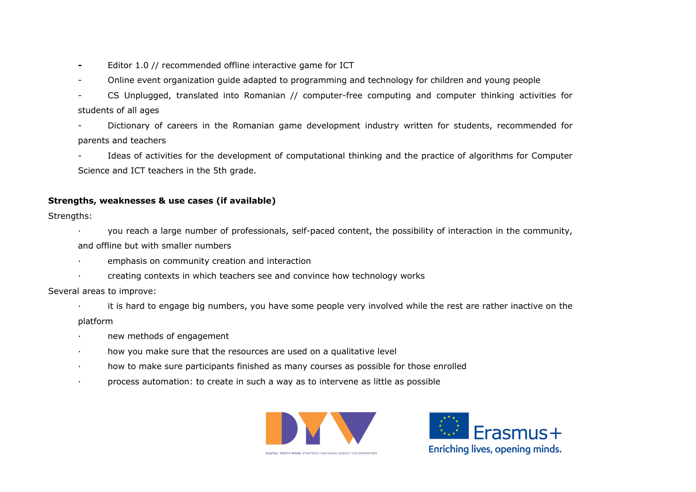- Editor 1.0 // recommended offline interactive game for ICT
- Online event organization guide adapted to programming and technology for children and young people
- CS Unplugged, translated into Romanian // computer-free computing and computer thinking activities for students of all ages
- Dictionary of careers in the Romanian game development industry written for students, recommended for parents and teachers
- Ideas of activities for the development of computational thinking and the practice of algorithms for Computer Science and ICT teachers in the 5th grade.

# **Strengths, weaknesses & use cases (if available)**

Strengths:

- · you reach a large number of professionals, self-paced content, the possibility of interaction in the community, and offline but with smaller numbers
- · emphasis on community creation and interaction
- · creating contexts in which teachers see and convince how technology works

Several areas to improve:

· it is hard to engage big numbers, you have some people very involved while the rest are rather inactive on the

platform

- new methods of engagement
- · how you make sure that the resources are used on a qualitative level
- · how to make sure participants finished as many courses as possible for those enrolled
- · process automation: to create in such a way as to intervene as little as possible



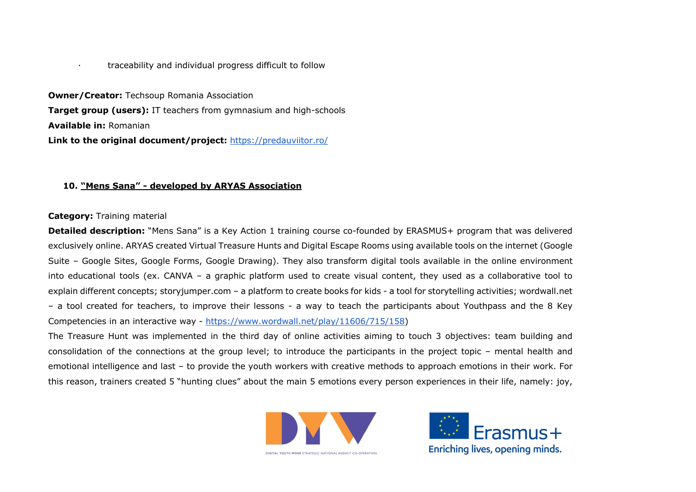#### · traceability and individual progress difficult to follow

**Owner/Creator:** Techsoup Romania Association **Target group (users):** IT teachers from gymnasium and high-schools **Available in:** Romanian **Link to the original document/project:** https://predauviitor.ro/

#### **10. "Mens Sana" - developed by ARYAS Association**

#### **Category:** Training material

**Detailed description:** "Mens Sana" is a Key Action 1 training course co-founded by ERASMUS+ program that was delivered exclusively online. ARYAS created Virtual Treasure Hunts and Digital Escape Rooms using available tools on the internet (Google Suite – Google Sites, Google Forms, Google Drawing). They also transform digital tools available in the online environment into educational tools (ex. CANVA – a graphic platform used to create visual content, they used as a collaborative tool to explain different concepts; storyjumper.com – a platform to create books for kids - a tool for storytelling activities; wordwall.net – a tool created for teachers, to improve their lessons - a way to teach the participants about Youthpass and the 8 Key Competencies in an interactive way - https://www.wordwall.net/play/11606/715/158)

The Treasure Hunt was implemented in the third day of online activities aiming to touch 3 objectives: team building and consolidation of the connections at the group level; to introduce the participants in the project topic – mental health and emotional intelligence and last – to provide the youth workers with creative methods to approach emotions in their work. For this reason, trainers created 5 "hunting clues" about the main 5 emotions every person experiences in their life, namely: joy,



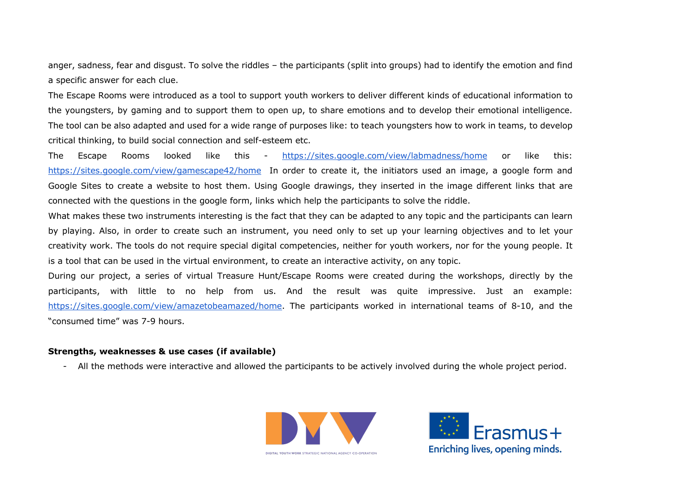anger, sadness, fear and disgust. To solve the riddles – the participants (split into groups) had to identify the emotion and find a specific answer for each clue.

The Escape Rooms were introduced as a tool to support youth workers to deliver different kinds of educational information to the youngsters, by gaming and to support them to open up, to share emotions and to develop their emotional intelligence. The tool can be also adapted and used for a wide range of purposes like: to teach youngsters how to work in teams, to develop critical thinking, to build social connection and self-esteem etc.

The Escape Rooms looked like this - https://sites.google.com/view/labmadness/home or like this: https://sites.google.com/view/gamescape42/home In order to create it, the initiators used an image, a google form and Google Sites to create a website to host them. Using Google drawings, they inserted in the image different links that are connected with the questions in the google form, links which help the participants to solve the riddle.

What makes these two instruments interesting is the fact that they can be adapted to any topic and the participants can learn by playing. Also, in order to create such an instrument, you need only to set up your learning objectives and to let your creativity work. The tools do not require special digital competencies, neither for youth workers, nor for the young people. It is a tool that can be used in the virtual environment, to create an interactive activity, on any topic.

During our project, a series of virtual Treasure Hunt/Escape Rooms were created during the workshops, directly by the participants, with little to no help from us. And the result was quite impressive. Just an example: https://sites.google.com/view/amazetobeamazed/home. The participants worked in international teams of 8-10, and the "consumed time" was 7-9 hours.

#### **Strengths, weaknesses & use cases (if available)**

- All the methods were interactive and allowed the participants to be actively involved during the whole project period.



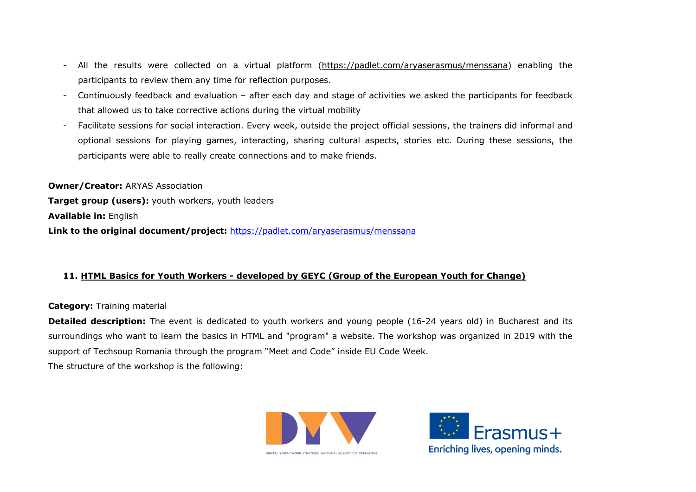- All the results were collected on a virtual platform (https://padlet.com/aryaserasmus/menssana) enabling the participants to review them any time for reflection purposes.
- Continuously feedback and evaluation after each day and stage of activities we asked the participants for feedback that allowed us to take corrective actions during the virtual mobility
- Facilitate sessions for social interaction. Every week, outside the project official sessions, the trainers did informal and optional sessions for playing games, interacting, sharing cultural aspects, stories etc. During these sessions, the participants were able to really create connections and to make friends.

**Owner/Creator:** ARYAS Association **Target group (users):** youth workers, youth leaders **Available in:** English **Link to the original document/project:** https://padlet.com/aryaserasmus/menssana

# **11. HTML Basics for Youth Workers - developed by GEYC (Group of the European Youth for Change)**

# **Category:** Training material

**Detailed description:** The event is dedicated to youth workers and young people (16-24 years old) in Bucharest and its surroundings who want to learn the basics in HTML and "program" a website. The workshop was organized in 2019 with the support of Techsoup Romania through the program "Meet and Code" inside EU Code Week. The structure of the workshop is the following:



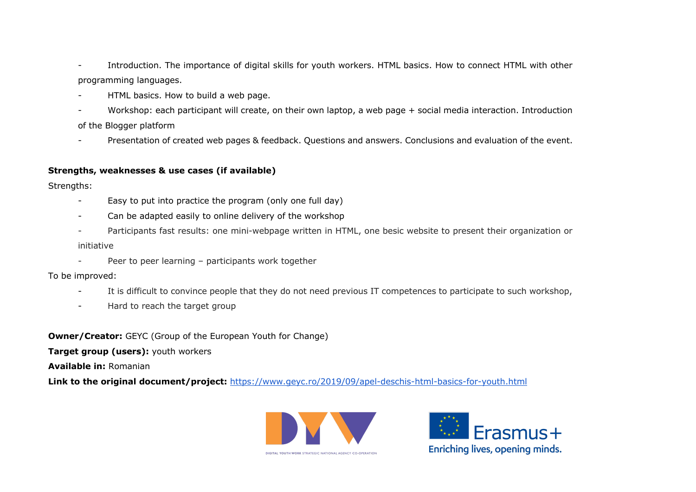- Introduction. The importance of digital skills for youth workers. HTML basics. How to connect HTML with other programming languages.
- HTML basics. How to build a web page.
- Workshop: each participant will create, on their own laptop, a web page + social media interaction. Introduction of the Blogger platform
- Presentation of created web pages & feedback. Questions and answers. Conclusions and evaluation of the event.

# **Strengths, weaknesses & use cases (if available)**

Strengths:

- Easy to put into practice the program (only one full day)
- Can be adapted easily to online delivery of the workshop
- Participants fast results: one mini-webpage written in HTML, one besic website to present their organization or initiative
- Peer to peer learning participants work together

To be improved:

- It is difficult to convince people that they do not need previous IT competences to participate to such workshop,
- Hard to reach the target group

**Owner/Creator:** GEYC (Group of the European Youth for Change)

**Target group (users):** youth workers

**Available in:** Romanian

**Link to the original document/project:** https://www.geyc.ro/2019/09/apel-deschis-html-basics-for-youth.html



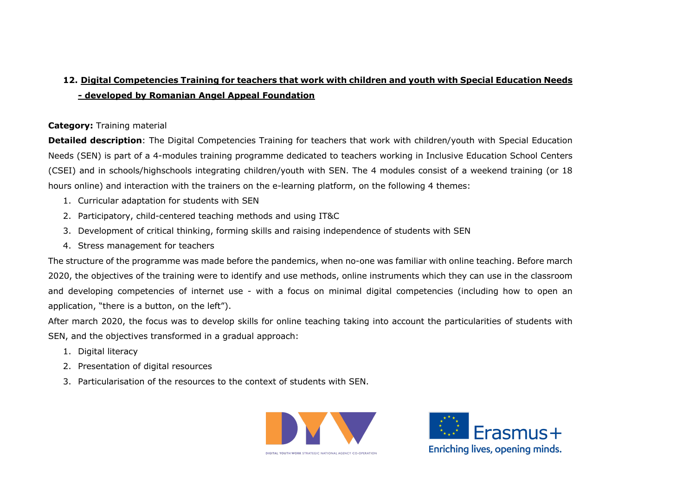# **12. Digital Competencies Training for teachers that work with children and youth with Special Education Needs - developed by Romanian Angel Appeal Foundation**

# **Category:** Training material

**Detailed description**: The Digital Competencies Training for teachers that work with children/youth with Special Education Needs (SEN) is part of a 4-modules training programme dedicated to teachers working in Inclusive Education School Centers (CSEI) and in schools/highschools integrating children/youth with SEN. The 4 modules consist of a weekend training (or 18 hours online) and interaction with the trainers on the e-learning platform, on the following 4 themes:

- 1. Curricular adaptation for students with SEN
- 2. Participatory, child-centered teaching methods and using IT&C
- 3. Development of critical thinking, forming skills and raising independence of students with SEN
- 4. Stress management for teachers

The structure of the programme was made before the pandemics, when no-one was familiar with online teaching. Before march 2020, the objectives of the training were to identify and use methods, online instruments which they can use in the classroom and developing competencies of internet use - with a focus on minimal digital competencies (including how to open an application, "there is a button, on the left").

After march 2020, the focus was to develop skills for online teaching taking into account the particularities of students with SEN, and the objectives transformed in a gradual approach:

- 1. Digital literacy
- 2. Presentation of digital resources
- 3. Particularisation of the resources to the context of students with SEN.



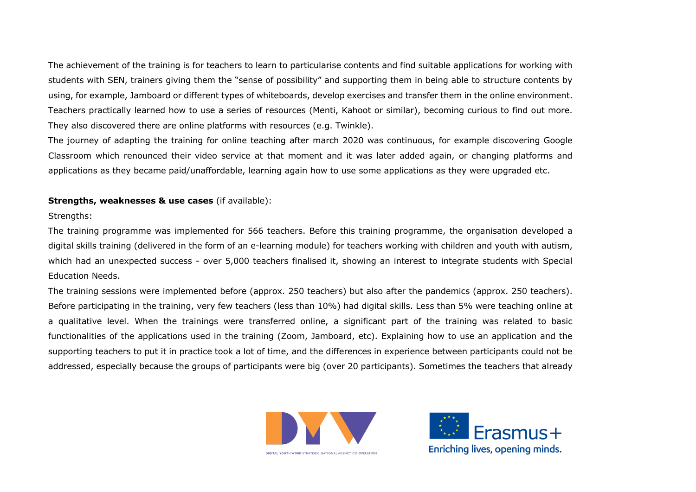The achievement of the training is for teachers to learn to particularise contents and find suitable applications for working with students with SEN, trainers giving them the "sense of possibility" and supporting them in being able to structure contents by using, for example, Jamboard or different types of whiteboards, develop exercises and transfer them in the online environment. Teachers practically learned how to use a series of resources (Menti, Kahoot or similar), becoming curious to find out more. They also discovered there are online platforms with resources (e.g. Twinkle).

The journey of adapting the training for online teaching after march 2020 was continuous, for example discovering Google Classroom which renounced their video service at that moment and it was later added again, or changing platforms and applications as they became paid/unaffordable, learning again how to use some applications as they were upgraded etc.

## **Strengths, weaknesses & use cases** (if available):

#### Strengths:

The training programme was implemented for 566 teachers. Before this training programme, the organisation developed a digital skills training (delivered in the form of an e-learning module) for teachers working with children and youth with autism, which had an unexpected success - over 5,000 teachers finalised it, showing an interest to integrate students with Special Education Needs.

The training sessions were implemented before (approx. 250 teachers) but also after the pandemics (approx. 250 teachers). Before participating in the training, very few teachers (less than 10%) had digital skills. Less than 5% were teaching online at a qualitative level. When the trainings were transferred online, a significant part of the training was related to basic functionalities of the applications used in the training (Zoom, Jamboard, etc). Explaining how to use an application and the supporting teachers to put it in practice took a lot of time, and the differences in experience between participants could not be addressed, especially because the groups of participants were big (over 20 participants). Sometimes the teachers that already



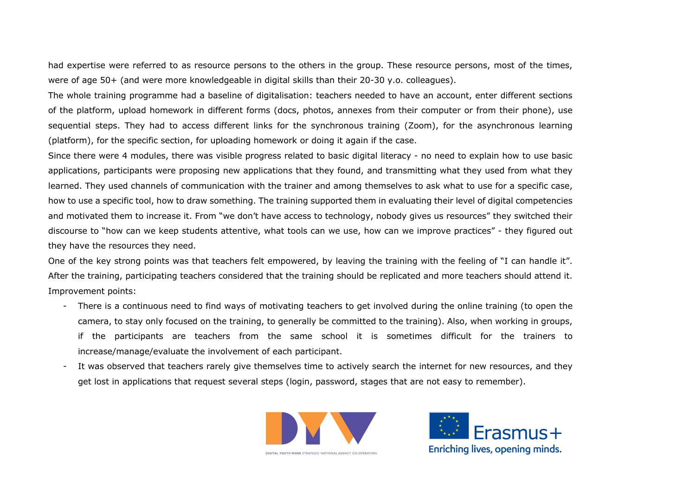had expertise were referred to as resource persons to the others in the group. These resource persons, most of the times, were of age 50+ (and were more knowledgeable in digital skills than their 20-30 y.o. colleagues).

The whole training programme had a baseline of digitalisation: teachers needed to have an account, enter different sections of the platform, upload homework in different forms (docs, photos, annexes from their computer or from their phone), use sequential steps. They had to access different links for the synchronous training (Zoom), for the asynchronous learning (platform), for the specific section, for uploading homework or doing it again if the case.

Since there were 4 modules, there was visible progress related to basic digital literacy - no need to explain how to use basic applications, participants were proposing new applications that they found, and transmitting what they used from what they learned. They used channels of communication with the trainer and among themselves to ask what to use for a specific case, how to use a specific tool, how to draw something. The training supported them in evaluating their level of digital competencies and motivated them to increase it. From "we don't have access to technology, nobody gives us resources" they switched their discourse to "how can we keep students attentive, what tools can we use, how can we improve practices" - they figured out they have the resources they need.

One of the key strong points was that teachers felt empowered, by leaving the training with the feeling of "I can handle it". After the training, participating teachers considered that the training should be replicated and more teachers should attend it. Improvement points:

- There is a continuous need to find ways of motivating teachers to get involved during the online training (to open the camera, to stay only focused on the training, to generally be committed to the training). Also, when working in groups, if the participants are teachers from the same school it is sometimes difficult for the trainers to increase/manage/evaluate the involvement of each participant.
- It was observed that teachers rarely give themselves time to actively search the internet for new resources, and they get lost in applications that request several steps (login, password, stages that are not easy to remember).



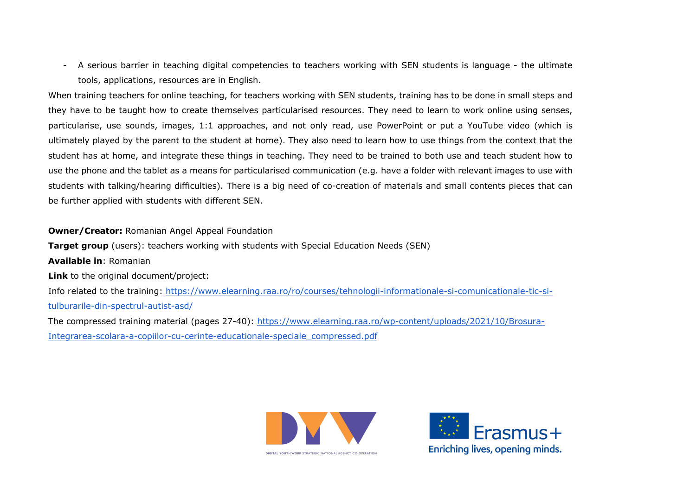- A serious barrier in teaching digital competencies to teachers working with SEN students is language - the ultimate tools, applications, resources are in English.

When training teachers for online teaching, for teachers working with SEN students, training has to be done in small steps and they have to be taught how to create themselves particularised resources. They need to learn to work online using senses, particularise, use sounds, images, 1:1 approaches, and not only read, use PowerPoint or put a YouTube video (which is ultimately played by the parent to the student at home). They also need to learn how to use things from the context that the student has at home, and integrate these things in teaching. They need to be trained to both use and teach student how to use the phone and the tablet as a means for particularised communication (e.g. have a folder with relevant images to use with students with talking/hearing difficulties). There is a big need of co-creation of materials and small contents pieces that can be further applied with students with different SEN.

**Owner/Creator:** Romanian Angel Appeal Foundation

**Target group** (users): teachers working with students with Special Education Needs (SEN) **Available in**: Romanian **Link** to the original document/project: Info related to the training: https://www.elearning.raa.ro/ro/courses/tehnologii-informationale-si-comunicationale-tic-situlburarile-din-spectrul-autist-asd/ The compressed training material (pages 27-40): https://www.elearning.raa.ro/wp-content/uploads/2021/10/Brosura-

Integrarea-scolara-a-copiilor-cu-cerinte-educationale-speciale\_compressed.pdf



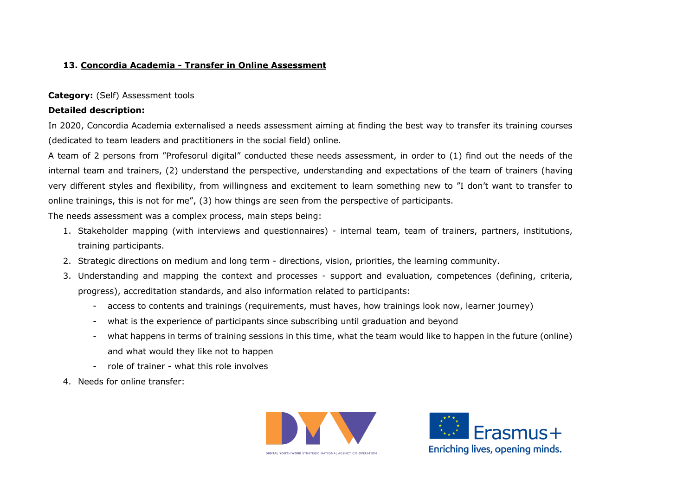# **13. Concordia Academia - Transfer in Online Assessment**

#### **Category:** (Self) Assessment tools

#### **Detailed description:**

In 2020, Concordia Academia externalised a needs assessment aiming at finding the best way to transfer its training courses (dedicated to team leaders and practitioners in the social field) online.

A team of 2 persons from "Profesorul digital" conducted these needs assessment, in order to (1) find out the needs of the internal team and trainers, (2) understand the perspective, understanding and expectations of the team of trainers (having very different styles and flexibility, from willingness and excitement to learn something new to "I don't want to transfer to online trainings, this is not for me", (3) how things are seen from the perspective of participants.

The needs assessment was a complex process, main steps being:

- 1. Stakeholder mapping (with interviews and questionnaires) internal team, team of trainers, partners, institutions, training participants.
- 2. Strategic directions on medium and long term directions, vision, priorities, the learning community.
- 3. Understanding and mapping the context and processes support and evaluation, competences (defining, criteria, progress), accreditation standards, and also information related to participants:
	- access to contents and trainings (requirements, must haves, how trainings look now, learner journey)
	- what is the experience of participants since subscribing until graduation and beyond
	- what happens in terms of training sessions in this time, what the team would like to happen in the future (online) and what would they like not to happen
	- role of trainer what this role involves
- 4. Needs for online transfer:



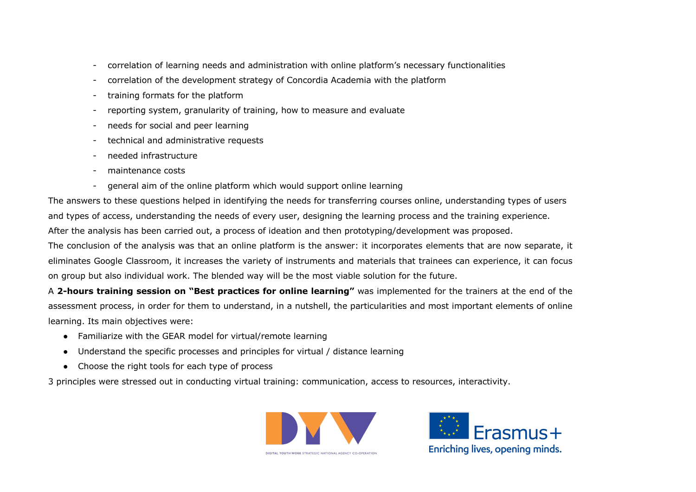- correlation of learning needs and administration with online platform's necessary functionalities
- correlation of the development strategy of Concordia Academia with the platform
- training formats for the platform
- reporting system, granularity of training, how to measure and evaluate
- needs for social and peer learning
- technical and administrative requests
- needed infrastructure
- maintenance costs
- general aim of the online platform which would support online learning

The answers to these questions helped in identifying the needs for transferring courses online, understanding types of users and types of access, understanding the needs of every user, designing the learning process and the training experience.

After the analysis has been carried out, a process of ideation and then prototyping/development was proposed.

The conclusion of the analysis was that an online platform is the answer: it incorporates elements that are now separate, it eliminates Google Classroom, it increases the variety of instruments and materials that trainees can experience, it can focus on group but also individual work. The blended way will be the most viable solution for the future.

A **2-hours training session on "Best practices for online learning"** was implemented for the trainers at the end of the assessment process, in order for them to understand, in a nutshell, the particularities and most important elements of online learning. Its main objectives were:

- Familiarize with the GEAR model for virtual/remote learning
- Understand the specific processes and principles for virtual / distance learning
- Choose the right tools for each type of process

3 principles were stressed out in conducting virtual training: communication, access to resources, interactivity.



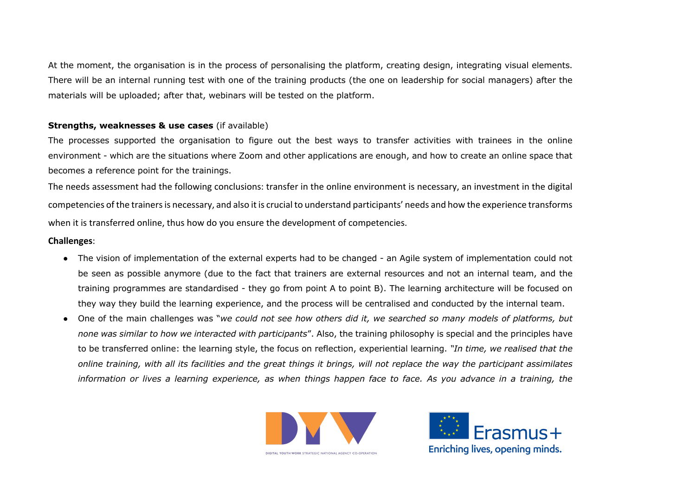At the moment, the organisation is in the process of personalising the platform, creating design, integrating visual elements. There will be an internal running test with one of the training products (the one on leadership for social managers) after the materials will be uploaded; after that, webinars will be tested on the platform.

## **Strengths, weaknesses & use cases** (if available)

The processes supported the organisation to figure out the best ways to transfer activities with trainees in the online environment - which are the situations where Zoom and other applications are enough, and how to create an online space that becomes a reference point for the trainings.

The needs assessment had the following conclusions: transfer in the online environment is necessary, an investment in the digital competencies of the trainers is necessary, and also it is crucial to understand participants' needs and how the experience transforms when it is transferred online, thus how do you ensure the development of competencies.

# **Challenges**:

- The vision of implementation of the external experts had to be changed an Agile system of implementation could not be seen as possible anymore (due to the fact that trainers are external resources and not an internal team, and the training programmes are standardised - they go from point A to point B). The learning architecture will be focused on they way they build the learning experience, and the process will be centralised and conducted by the internal team.
- One of the main challenges was "*we could not see how others did it, we searched so many models of platforms, but none was similar to how we interacted with participants*". Also, the training philosophy is special and the principles have to be transferred online: the learning style, the focus on reflection, experiential learning. *"In time, we realised that the online training, with all its facilities and the great things it brings, will not replace the way the participant assimilates information or lives a learning experience, as when things happen face to face. As you advance in a training, the*



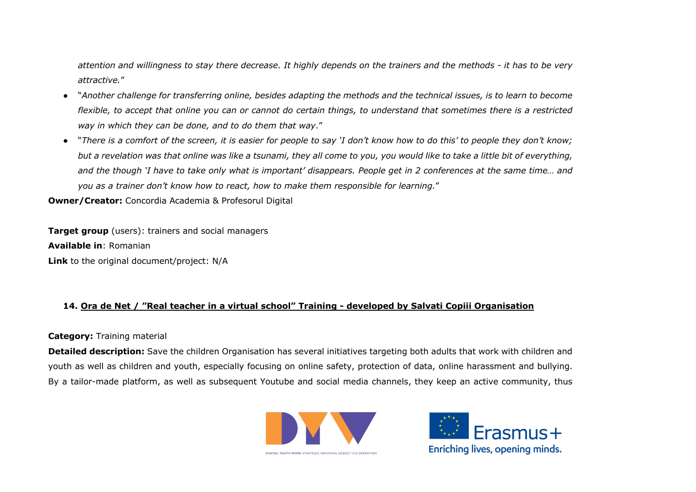*attention and willingness to stay there decrease. It highly depends on the trainers and the methods - it has to be very attractive.*"

- "*Another challenge for transferring online, besides adapting the methods and the technical issues, is to learn to become flexible, to accept that online you can or cannot do certain things, to understand that sometimes there is a restricted way in which they can be done, and to do them that way*."
- "*There is a comfort of the screen, it is easier for people to say 'I don't know how to do this' to people they don't know; but a revelation was that online was like a tsunami, they all come to you, you would like to take a little bit of everything, and the though 'I have to take only what is important' disappears. People get in 2 conferences at the same time… and you as a trainer don't know how to react, how to make them responsible for learning.*"

**Owner/Creator:** Concordia Academia & Profesorul Digital

**Target group** (users): trainers and social managers **Available in**: Romanian **Link** to the original document/project: N/A

# **14. Ora de Net / "Real teacher in a virtual school" Training - developed by Salvati Copiii Organisation**

#### **Category:** Training material

**Detailed description:** Save the children Organisation has several initiatives targeting both adults that work with children and youth as well as children and youth, especially focusing on online safety, protection of data, online harassment and bullying. By a tailor-made platform, as well as subsequent Youtube and social media channels, they keep an active community, thus



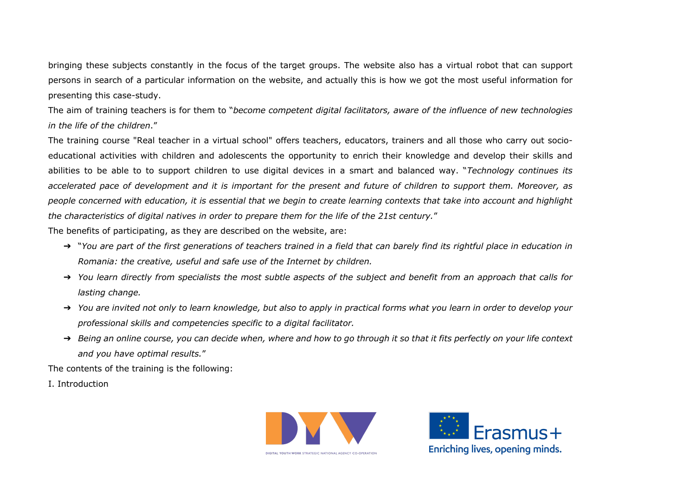bringing these subjects constantly in the focus of the target groups. The website also has a virtual robot that can support persons in search of a particular information on the website, and actually this is how we got the most useful information for presenting this case-study.

The aim of training teachers is for them to "*become competent digital facilitators, aware of the influence of new technologies in the life of the children*."

The training course "Real teacher in a virtual school" offers teachers, educators, trainers and all those who carry out socioeducational activities with children and adolescents the opportunity to enrich their knowledge and develop their skills and abilities to be able to to support children to use digital devices in a smart and balanced way. "*Technology continues its accelerated pace of development and it is important for the present and future of children to support them. Moreover, as people concerned with education, it is essential that we begin to create learning contexts that take into account and highlight the characteristics of digital natives in order to prepare them for the life of the 21st century.*"

The benefits of participating, as they are described on the website, are:

- ➔ "*You are part of the first generations of teachers trained in a field that can barely find its rightful place in education in Romania: the creative, useful and safe use of the Internet by children.*
- ➔ *You learn directly from specialists the most subtle aspects of the subject and benefit from an approach that calls for lasting change.*
- ➔ *You are invited not only to learn knowledge, but also to apply in practical forms what you learn in order to develop your professional skills and competencies specific to a digital facilitator.*
- ➔ *Being an online course, you can decide when, where and how to go through it so that it fits perfectly on your life context and you have optimal results.*"

The contents of the training is the following:

I. Introduction



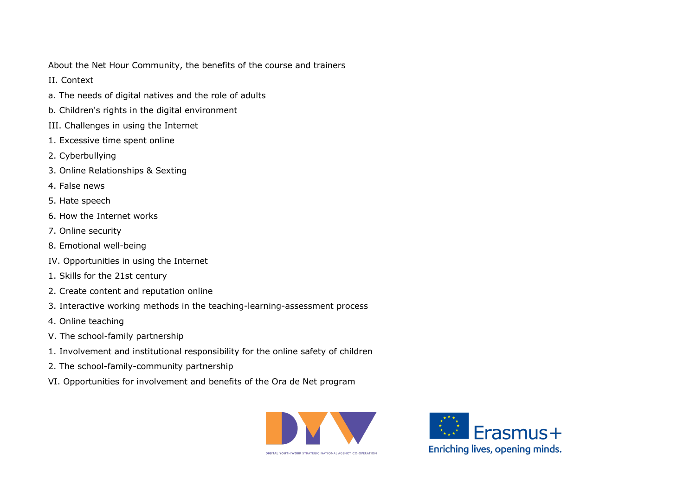About the Net Hour Community, the benefits of the course and trainers

II. Context

- a. The needs of digital natives and the role of adults
- b. Children's rights in the digital environment
- III. Challenges in using the Internet
- 1. Excessive time spent online
- 2. Cyberbullying
- 3. Online Relationships & Sexting
- 4. False news
- 5. Hate speech
- 6. How the Internet works
- 7. Online security
- 8. Emotional well-being
- IV. Opportunities in using the Internet
- 1. Skills for the 21st century
- 2. Create content and reputation online
- 3. Interactive working methods in the teaching-learning-assessment process
- 4. Online teaching
- V. The school-family partnership
- 1. Involvement and institutional responsibility for the online safety of children
- 2. The school-family-community partnership
- VI. Opportunities for involvement and benefits of the Ora de Net program



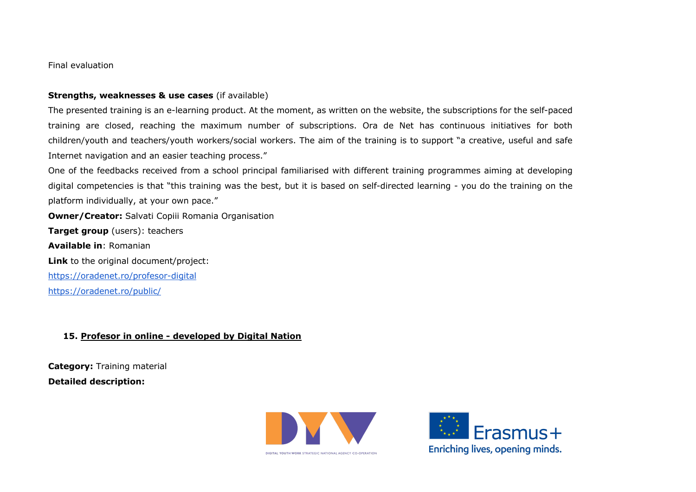Final evaluation

#### **Strengths, weaknesses & use cases** (if available)

The presented training is an e-learning product. At the moment, as written on the website, the subscriptions for the self-paced training are closed, reaching the maximum number of subscriptions. Ora de Net has continuous initiatives for both children/youth and teachers/youth workers/social workers. The aim of the training is to support "a creative, useful and safe Internet navigation and an easier teaching process."

One of the feedbacks received from a school principal familiarised with different training programmes aiming at developing digital competencies is that "this training was the best, but it is based on self-directed learning - you do the training on the platform individually, at your own pace."

**Owner/Creator:** Salvati Copiii Romania Organisation

**Target group** (users): teachers **Available in**: Romanian **Link** to the original document/project: https://oradenet.ro/profesor-digital https://oradenet.ro/public/

**15. Profesor in online - developed by Digital Nation**

**Category:** Training material **Detailed description:**



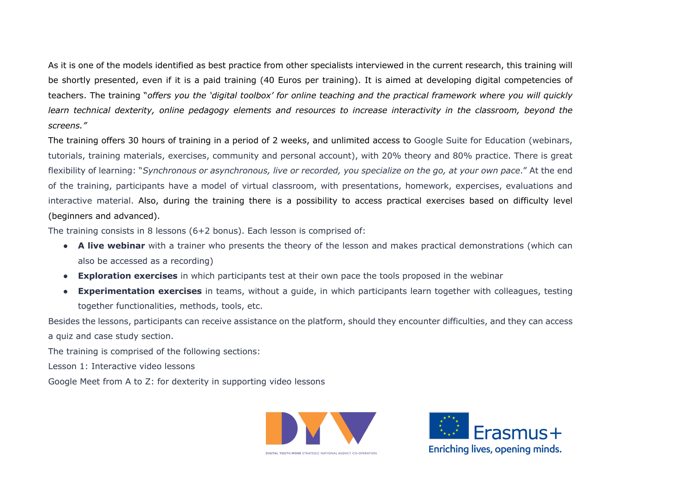As it is one of the models identified as best practice from other specialists interviewed in the current research, this training will be shortly presented, even if it is a paid training (40 Euros per training). It is aimed at developing digital competencies of teachers. The training "*offers you the 'digital toolbox' for online teaching and the practical framework where you will quickly learn technical dexterity, online pedagogy elements and resources to increase interactivity in the classroom, beyond the screens."*

The training offers 30 hours of training in a period of 2 weeks, and unlimited access to Google Suite for Education (webinars, tutorials, training materials, exercises, community and personal account), with 20% theory and 80% practice. There is great flexibility of learning: "*Synchronous or asynchronous, live or recorded, you specialize on the go, at your own pace*." At the end of the training, participants have a model of virtual classroom, with presentations, homework, expercises, evaluations and interactive material. Also, during the training there is a possibility to access practical exercises based on difficulty level (beginners and advanced).

The training consists in 8 lessons (6+2 bonus). Each lesson is comprised of:

- **A live webinar** with a trainer who presents the theory of the lesson and makes practical demonstrations (which can also be accessed as a recording)
- **Exploration exercises** in which participants test at their own pace the tools proposed in the webinar
- **Experimentation exercises** in teams, without a guide, in which participants learn together with colleagues, testing together functionalities, methods, tools, etc.

Besides the lessons, participants can receive assistance on the platform, should they encounter difficulties, and they can access a quiz and case study section.

The training is comprised of the following sections:

Lesson 1: Interactive video lessons

Google Meet from A to Z: for dexterity in supporting video lessons



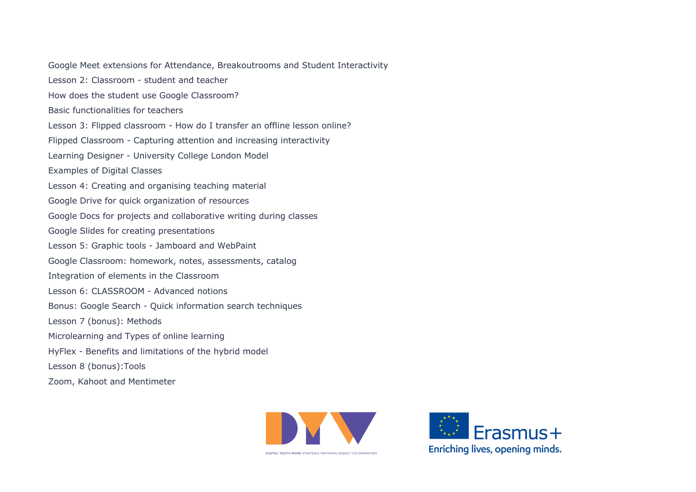Google Meet extensions for Attendance, Breakoutrooms and Student Interactivity Lesson 2: Classroom - student and teacher How does the student use Google Classroom? Basic functionalities for teachers Lesson 3: Flipped classroom - How do I transfer an offline lesson online? Flipped Classroom - Capturing attention and increasing interactivity Learning Designer - University College London Model Examples of Digital Classes Lesson 4: Creating and organising teaching material Google Drive for quick organization of resources Google Docs for projects and collaborative writing during classes Google Slides for creating presentations Lesson 5: Graphic tools - Jamboard and WebPaint Google Classroom: homework, notes, assessments, catalog Integration of elements in the Classroom Lesson 6: CLASSROOM - Advanced notions Bonus: Google Search - Quick information search techniques Lesson 7 (bonus): Methods Microlearning and Types of online learning HyFlex - Benefits and limitations of the hybrid model Lesson 8 (bonus):Tools Zoom, Kahoot and Mentimeter



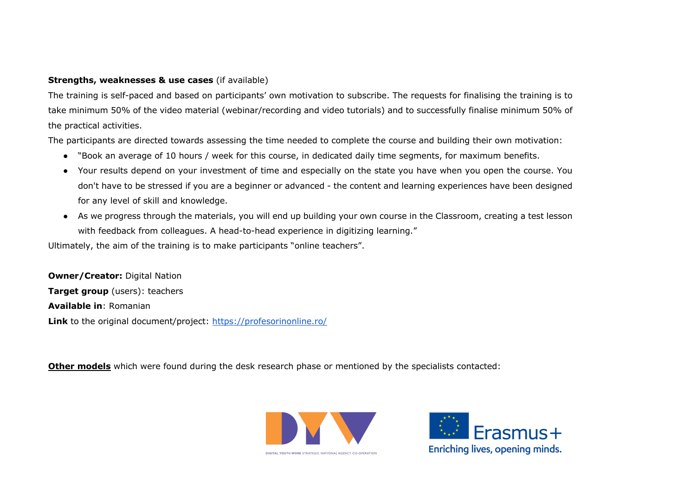# **Strengths, weaknesses & use cases** (if available)

The training is self-paced and based on participants' own motivation to subscribe. The requests for finalising the training is to take minimum 50% of the video material (webinar/recording and video tutorials) and to successfully finalise minimum 50% of the practical activities.

The participants are directed towards assessing the time needed to complete the course and building their own motivation:

- "Book an average of 10 hours / week for this course, in dedicated daily time segments, for maximum benefits.
- Your results depend on your investment of time and especially on the state you have when you open the course. You don't have to be stressed if you are a beginner or advanced - the content and learning experiences have been designed for any level of skill and knowledge.
- As we progress through the materials, you will end up building your own course in the Classroom, creating a test lesson with feedback from colleagues. A head-to-head experience in digitizing learning."

Ultimately, the aim of the training is to make participants "online teachers".

**Owner/Creator: Digital Nation Target group** (users): teachers **Available in**: Romanian Link to the original document/project: https://profesorinonline.ro/

**Other models** which were found during the desk research phase or mentioned by the specialists contacted:



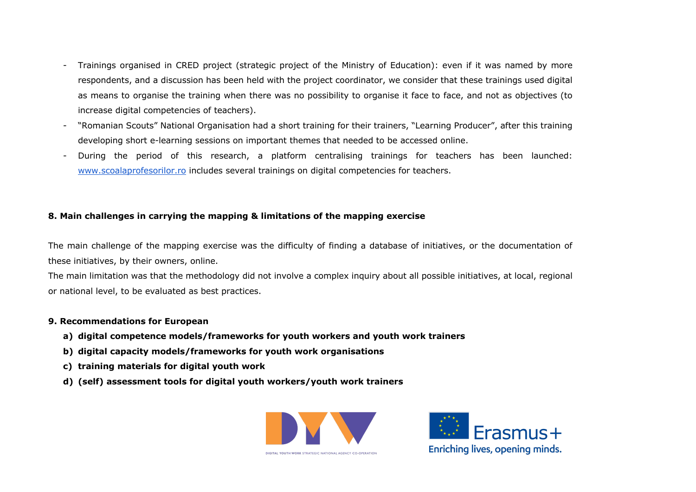- Trainings organised in CRED project (strategic project of the Ministry of Education): even if it was named by more respondents, and a discussion has been held with the project coordinator, we consider that these trainings used digital as means to organise the training when there was no possibility to organise it face to face, and not as objectives (to increase digital competencies of teachers).
- "Romanian Scouts" National Organisation had a short training for their trainers, "Learning Producer", after this training developing short e-learning sessions on important themes that needed to be accessed online.
- During the period of this research, a platform centralising trainings for teachers has been launched: www.scoalaprofesorilor.ro includes several trainings on digital competencies for teachers.

# **8. Main challenges in carrying the mapping & limitations of the mapping exercise**

The main challenge of the mapping exercise was the difficulty of finding a database of initiatives, or the documentation of these initiatives, by their owners, online.

The main limitation was that the methodology did not involve a complex inquiry about all possible initiatives, at local, regional or national level, to be evaluated as best practices.

#### **9. Recommendations for European**

- **a) digital competence models/frameworks for youth workers and youth work trainers**
- **b) digital capacity models/frameworks for youth work organisations**
- **c) training materials for digital youth work**
- **d) (self) assessment tools for digital youth workers/youth work trainers**



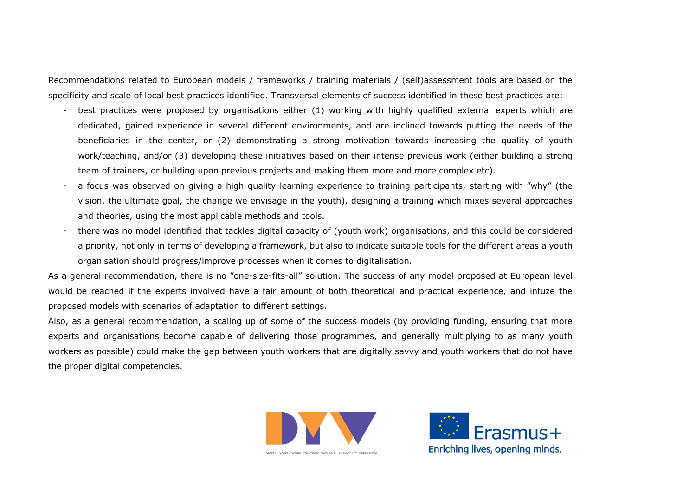Recommendations related to European models / frameworks / training materials / (self)assessment tools are based on the specificity and scale of local best practices identified. Transversal elements of success identified in these best practices are:

- best practices were proposed by organisations either (1) working with highly qualified external experts which are dedicated, gained experience in several different environments, and are inclined towards putting the needs of the beneficiaries in the center, or (2) demonstrating a strong motivation towards increasing the quality of youth work/teaching, and/or (3) developing these initiatives based on their intense previous work (either building a strong team of trainers, or building upon previous projects and making them more and more complex etc).
- a focus was observed on giving a high quality learning experience to training participants, starting with "why" (the vision, the ultimate goal, the change we envisage in the youth), designing a training which mixes several approaches and theories, using the most applicable methods and tools.
- there was no model identified that tackles digital capacity of (youth work) organisations, and this could be considered a priority, not only in terms of developing a framework, but also to indicate suitable tools for the different areas a youth organisation should progress/improve processes when it comes to digitalisation.

As a general recommendation, there is no "one-size-fits-all" solution. The success of any model proposed at European level would be reached if the experts involved have a fair amount of both theoretical and practical experience, and infuze the proposed models with scenarios of adaptation to different settings.

Also, as a general recommendation, a scaling up of some of the success models (by providing funding, ensuring that more experts and organisations become capable of delivering those programmes, and generally multiplying to as many youth workers as possible) could make the gap between youth workers that are digitally savvy and youth workers that do not have the proper digital competencies.



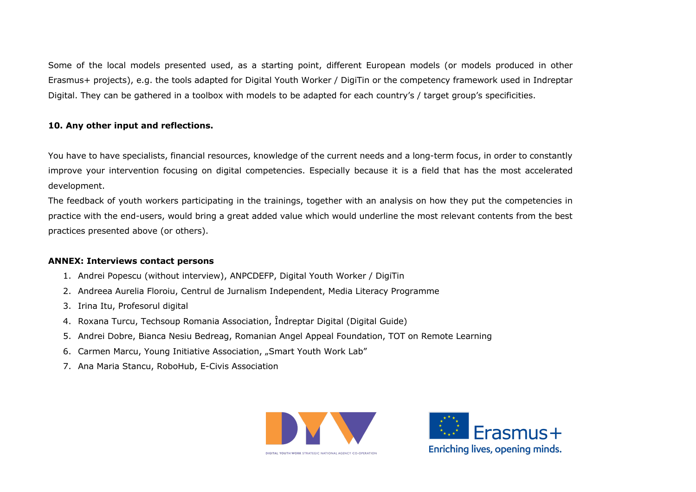Some of the local models presented used, as a starting point, different European models (or models produced in other Erasmus+ projects), e.g. the tools adapted for Digital Youth Worker / DigiTin or the competency framework used in Indreptar Digital. They can be gathered in a toolbox with models to be adapted for each country's / target group's specificities.

# **10. Any other input and reflections.**

You have to have specialists, financial resources, knowledge of the current needs and a long-term focus, in order to constantly improve your intervention focusing on digital competencies. Especially because it is a field that has the most accelerated development.

The feedback of youth workers participating in the trainings, together with an analysis on how they put the competencies in practice with the end-users, would bring a great added value which would underline the most relevant contents from the best practices presented above (or others).

# **ANNEX: Interviews contact persons**

- 1. Andrei Popescu (without interview), ANPCDEFP, Digital Youth Worker / DigiTin
- 2. Andreea Aurelia Floroiu, Centrul de Jurnalism Independent, Media Literacy Programme
- 3. Irina Itu, Profesorul digital
- 4. Roxana Turcu, Techsoup Romania Association, Îndreptar Digital (Digital Guide)
- 5. Andrei Dobre, Bianca Nesiu Bedreag, Romanian Angel Appeal Foundation, TOT on Remote Learning
- 6. Carmen Marcu, Young Initiative Association, "Smart Youth Work Lab"
- 7. Ana Maria Stancu, RoboHub, E-Civis Association



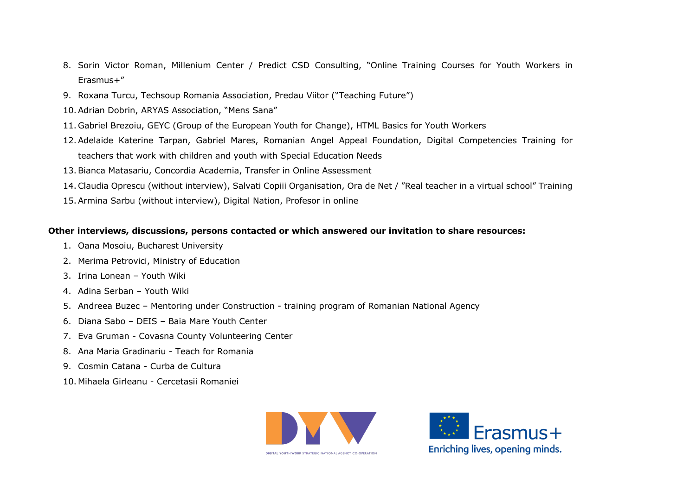- 8. Sorin Victor Roman, Millenium Center / Predict CSD Consulting, "Online Training Courses for Youth Workers in Erasmus+"
- 9. Roxana Turcu, Techsoup Romania Association, Predau Viitor ("Teaching Future")
- 10.Adrian Dobrin, ARYAS Association, "Mens Sana"
- 11. Gabriel Brezoiu, GEYC (Group of the European Youth for Change), HTML Basics for Youth Workers
- 12.Adelaide Katerine Tarpan, Gabriel Mares, Romanian Angel Appeal Foundation, Digital Competencies Training for teachers that work with children and youth with Special Education Needs
- 13.Bianca Matasariu, Concordia Academia, Transfer in Online Assessment
- 14.Claudia Oprescu (without interview), Salvati Copiii Organisation, Ora de Net / "Real teacher in a virtual school" Training
- 15.Armina Sarbu (without interview), Digital Nation, Profesor in online

#### **Other interviews, discussions, persons contacted or which answered our invitation to share resources:**

- 1. Oana Mosoiu, Bucharest University
- 2. Merima Petrovici, Ministry of Education
- 3. Irina Lonean Youth Wiki
- 4. Adina Serban Youth Wiki
- 5. Andreea Buzec Mentoring under Construction training program of Romanian National Agency
- 6. Diana Sabo DEIS Baia Mare Youth Center
- 7. Eva Gruman Covasna County Volunteering Center
- 8. Ana Maria Gradinariu Teach for Romania
- 9. Cosmin Catana Curba de Cultura
- 10. Mihaela Girleanu Cercetasii Romaniei